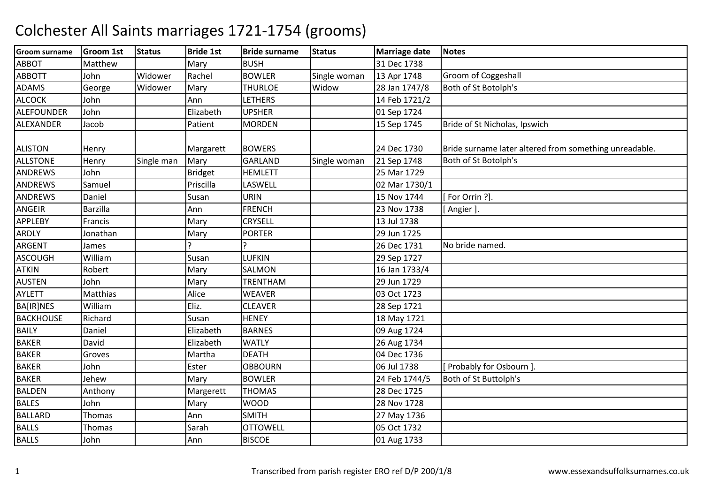| <b>Groom surname</b> | Groom 1st       | <b>Status</b> | <b>Bride 1st</b> | <b>Bride surname</b> | <b>Status</b> | <b>Marriage date</b> | <b>Notes</b>                                           |
|----------------------|-----------------|---------------|------------------|----------------------|---------------|----------------------|--------------------------------------------------------|
| <b>ABBOT</b>         | Matthew         |               | Mary             | <b>BUSH</b>          |               | 31 Dec 1738          |                                                        |
| <b>ABBOTT</b>        | John            | Widower       | Rachel           | <b>BOWLER</b>        | Single woman  | 13 Apr 1748          | Groom of Coggeshall                                    |
| <b>ADAMS</b>         | George          | Widower       | Mary             | <b>THURLOE</b>       | Widow         | 28 Jan 1747/8        | Both of St Botolph's                                   |
| <b>ALCOCK</b>        | John            |               | Ann              | LETHERS              |               | 14 Feb 1721/2        |                                                        |
| <b>ALEFOUNDER</b>    | John            |               | Elizabeth        | <b>UPSHER</b>        |               | 01 Sep 1724          |                                                        |
| ALEXANDER            | Jacob           |               | Patient          | <b>MORDEN</b>        |               | 15 Sep 1745          | Bride of St Nicholas, Ipswich                          |
|                      |                 |               |                  |                      |               |                      |                                                        |
| <b>ALISTON</b>       | Henry           |               | Margarett        | <b>BOWERS</b>        |               | 24 Dec 1730          | Bride surname later altered from something unreadable. |
| <b>ALLSTONE</b>      | Henry           | Single man    | Mary             | GARLAND              | Single woman  | 21 Sep 1748          | Both of St Botolph's                                   |
| <b>ANDREWS</b>       | John            |               | <b>Bridget</b>   | <b>HEMLETT</b>       |               | 25 Mar 1729          |                                                        |
| <b>ANDREWS</b>       | Samuel          |               | Priscilla        | LASWELL              |               | 02 Mar 1730/1        |                                                        |
| <b>ANDREWS</b>       | Daniel          |               | Susan            | <b>URIN</b>          |               | 15 Nov 1744          | For Orrin ?].                                          |
| <b>ANGEIR</b>        | <b>Barzilla</b> |               | Ann              | <b>FRENCH</b>        |               | 23 Nov 1738          | [Angier].                                              |
| <b>APPLEBY</b>       | Francis         |               | Mary             | <b>CRYSELL</b>       |               | 13 Jul 1738          |                                                        |
| ARDLY                | Jonathan        |               | Mary             | <b>PORTER</b>        |               | 29 Jun 1725          |                                                        |
| <b>ARGENT</b>        | James           |               | ς                |                      |               | 26 Dec 1731          | No bride named.                                        |
| <b>ASCOUGH</b>       | William         |               | Susan            | LUFKIN               |               | 29 Sep 1727          |                                                        |
| <b>ATKIN</b>         | Robert          |               | Mary             | <b>SALMON</b>        |               | 16 Jan 1733/4        |                                                        |
| <b>AUSTEN</b>        | John            |               | Mary             | <b>TRENTHAM</b>      |               | 29 Jun 1729          |                                                        |
| <b>AYLETT</b>        | Matthias        |               | Alice            | <b>WEAVER</b>        |               | 03 Oct 1723          |                                                        |
| <b>BA[IR]NES</b>     | William         |               | Eliz.            | <b>CLEAVER</b>       |               | 28 Sep 1721          |                                                        |
| <b>BACKHOUSE</b>     | Richard         |               | Susan            | <b>HENEY</b>         |               | 18 May 1721          |                                                        |
| <b>BAILY</b>         | Daniel          |               | Elizabeth        | <b>BARNES</b>        |               | 09 Aug 1724          |                                                        |
| <b>BAKER</b>         | David           |               | Elizabeth        | <b>WATLY</b>         |               | 26 Aug 1734          |                                                        |
| <b>BAKER</b>         | Groves          |               | Martha           | <b>DEATH</b>         |               | 04 Dec 1736          |                                                        |
| <b>BAKER</b>         | John            |               | Ester            | <b>OBBOURN</b>       |               | 06 Jul 1738          | Probably for Osbourn ]                                 |
| <b>BAKER</b>         | Jehew           |               | Mary             | <b>BOWLER</b>        |               | 24 Feb 1744/5        | Both of St Buttolph's                                  |
| <b>BALDEN</b>        | Anthony         |               | Margerett        | <b>THOMAS</b>        |               | 28 Dec 1725          |                                                        |
| <b>BALES</b>         | John            |               | Mary             | <b>WOOD</b>          |               | 28 Nov 1728          |                                                        |
| <b>BALLARD</b>       | Thomas          |               | Ann              | <b>SMITH</b>         |               | 27 May 1736          |                                                        |
| <b>BALLS</b>         | Thomas          |               | Sarah            | <b>OTTOWELL</b>      |               | 05 Oct 1732          |                                                        |
| <b>BALLS</b>         | John            |               | Ann              | <b>BISCOE</b>        |               | 01 Aug 1733          |                                                        |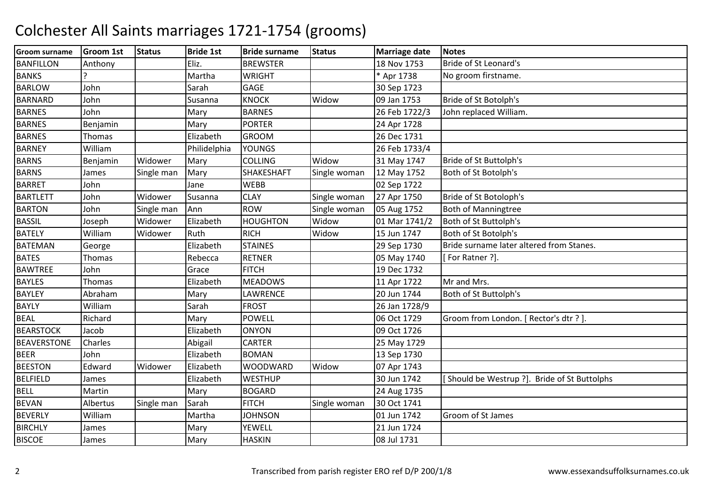| <b>Groom surname</b> | <b>Groom 1st</b> | <b>Status</b> | <b>Bride 1st</b> | <b>Bride surname</b> | <b>Status</b> | <b>Marriage date</b> | <b>Notes</b>                                 |
|----------------------|------------------|---------------|------------------|----------------------|---------------|----------------------|----------------------------------------------|
| <b>BANFILLON</b>     | Anthony          |               | Eliz.            | <b>BREWSTER</b>      |               | 18 Nov 1753          | Bride of St Leonard's                        |
| <b>BANKS</b>         |                  |               | Martha           | <b>WRIGHT</b>        |               | * Apr 1738           | No groom firstname.                          |
| <b>BARLOW</b>        | John             |               | Sarah            | <b>GAGE</b>          |               | 30 Sep 1723          |                                              |
| <b>BARNARD</b>       | John             |               | Susanna          | <b>KNOCK</b>         | Widow         | 09 Jan 1753          | Bride of St Botolph's                        |
| <b>BARNES</b>        | John             |               | Mary             | <b>BARNES</b>        |               | 26 Feb 1722/3        | John replaced William.                       |
| <b>BARNES</b>        | Benjamin         |               | Mary             | <b>PORTER</b>        |               | 24 Apr 1728          |                                              |
| <b>BARNES</b>        | Thomas           |               | Elizabeth        | <b>GROOM</b>         |               | 26 Dec 1731          |                                              |
| <b>BARNEY</b>        | William          |               | Philidelphia     | <b>YOUNGS</b>        |               | 26 Feb 1733/4        |                                              |
| <b>BARNS</b>         | Benjamin         | Widower       | Mary             | <b>COLLING</b>       | Widow         | 31 May 1747          | Bride of St Buttolph's                       |
| <b>BARNS</b>         | James            | Single man    | Mary             | SHAKESHAFT           | Single woman  | 12 May 1752          | Both of St Botolph's                         |
| <b>BARRET</b>        | John             |               | Jane             | <b>WEBB</b>          |               | 02 Sep 1722          |                                              |
| <b>BARTLETT</b>      | John             | Widower       | Susanna          | <b>CLAY</b>          | Single woman  | 27 Apr 1750          | Bride of St Botoloph's                       |
| <b>BARTON</b>        | John             | Single man    | Ann              | <b>ROW</b>           | Single woman  | 05 Aug 1752          | <b>Both of Manningtree</b>                   |
| <b>BASSIL</b>        | Joseph           | Widower       | Elizabeth        | <b>HOUGHTON</b>      | Widow         | 01 Mar 1741/2        | Both of St Buttolph's                        |
| <b>BATELY</b>        | William          | Widower       | Ruth             | <b>RICH</b>          | Widow         | 15 Jun 1747          | Both of St Botolph's                         |
| <b>BATEMAN</b>       | George           |               | Elizabeth        | <b>STAINES</b>       |               | 29 Sep 1730          | Bride surname later altered from Stanes.     |
| <b>BATES</b>         | <b>Thomas</b>    |               | Rebecca          | <b>RETNER</b>        |               | 05 May 1740          | [For Ratner ?].                              |
| <b>BAWTREE</b>       | John             |               | Grace            | <b>FITCH</b>         |               | 19 Dec 1732          |                                              |
| <b>BAYLES</b>        | Thomas           |               | Elizabeth        | <b>MEADOWS</b>       |               | 11 Apr 1722          | Mr and Mrs.                                  |
| <b>BAYLEY</b>        | Abraham          |               | Mary             | LAWRENCE             |               | 20 Jun 1744          | Both of St Buttolph's                        |
| <b>BAYLY</b>         | William          |               | Sarah            | <b>FROST</b>         |               | 26 Jan 1728/9        |                                              |
| <b>BEAL</b>          | Richard          |               | Mary             | <b>POWELL</b>        |               | 06 Oct 1729          | Groom from London. [ Rector's dtr ? ].       |
| <b>BEARSTOCK</b>     | Jacob            |               | Elizabeth        | <b>ONYON</b>         |               | 09 Oct 1726          |                                              |
| <b>BEAVERSTONE</b>   | Charles          |               | Abigail          | <b>CARTER</b>        |               | 25 May 1729          |                                              |
| <b>BEER</b>          | John             |               | Elizabeth        | <b>BOMAN</b>         |               | 13 Sep 1730          |                                              |
| <b>BEESTON</b>       | Edward           | Widower       | Elizabeth        | <b>WOODWARD</b>      | Widow         | 07 Apr 1743          |                                              |
| <b>BELFIELD</b>      | James            |               | Elizabeth        | <b>WESTHUP</b>       |               | 30 Jun 1742          | [Should be Westrup ?]. Bride of St Buttolphs |
| <b>BELL</b>          | Martin           |               | Mary             | <b>BOGARD</b>        |               | 24 Aug 1735          |                                              |
| <b>BEVAN</b>         | Albertus         | Single man    | Sarah            | <b>FITCH</b>         | Single woman  | 30 Oct 1741          |                                              |
| <b>BEVERLY</b>       | William          |               | Martha           | <b>JOHNSON</b>       |               | 01 Jun 1742          | Groom of St James                            |
| <b>BIRCHLY</b>       | James            |               | Mary             | YEWELL               |               | 21 Jun 1724          |                                              |
| <b>BISCOE</b>        | James            |               | Mary             | <b>HASKIN</b>        |               | 08 Jul 1731          |                                              |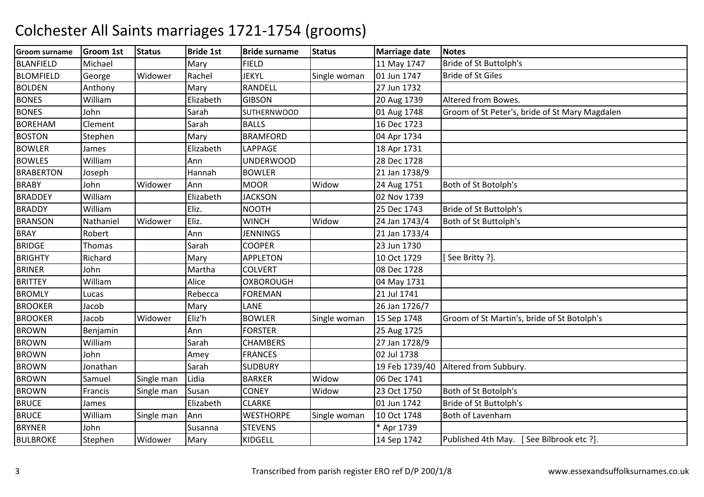| <b>Groom surname</b> | <b>Groom 1st</b> | <b>Status</b> | <b>Bride 1st</b> | <b>Bride surname</b> | <b>Status</b> | <b>Marriage date</b> | <b>Notes</b>                                   |
|----------------------|------------------|---------------|------------------|----------------------|---------------|----------------------|------------------------------------------------|
| <b>BLANFIELD</b>     | Michael          |               | Mary             | <b>FIELD</b>         |               | 11 May 1747          | Bride of St Buttolph's                         |
| <b>BLOMFIELD</b>     | George           | Widower       | Rachel           | <b>JEKYL</b>         | Single woman  | 01 Jun 1747          | <b>Bride of St Giles</b>                       |
| <b>BOLDEN</b>        | Anthony          |               | Mary             | RANDELL              |               | 27 Jun 1732          |                                                |
| <b>BONES</b>         | William          |               | Elizabeth        | <b>GIBSON</b>        |               | 20 Aug 1739          | Altered from Bowes.                            |
| <b>BONES</b>         | John             |               | Sarah            | <b>SUTHERNWOOD</b>   |               | 01 Aug 1748          | Groom of St Peter's, bride of St Mary Magdalen |
| <b>BOREHAM</b>       | Clement          |               | Sarah            | <b>BALLS</b>         |               | 16 Dec 1723          |                                                |
| <b>BOSTON</b>        | Stephen          |               | Mary             | <b>BRAMFORD</b>      |               | 04 Apr 1734          |                                                |
| <b>BOWLER</b>        | James            |               | Elizabeth        | LAPPAGE              |               | 18 Apr 1731          |                                                |
| <b>BOWLES</b>        | William          |               | Ann              | <b>UNDERWOOD</b>     |               | 28 Dec 1728          |                                                |
| <b>BRABERTON</b>     | Joseph           |               | Hannah           | <b>BOWLER</b>        |               | 21 Jan 1738/9        |                                                |
| <b>BRABY</b>         | John             | Widower       | Ann              | <b>MOOR</b>          | Widow         | 24 Aug 1751          | Both of St Botolph's                           |
| <b>BRADDEY</b>       | William          |               | Elizabeth        | <b>JACKSON</b>       |               | 02 Nov 1739          |                                                |
| <b>BRADDY</b>        | William          |               | Eliz.            | <b>NOOTH</b>         |               | 25 Dec 1743          | Bride of St Buttolph's                         |
| <b>BRANSON</b>       | Nathaniel        | Widower       | Eliz.            | <b>WINCH</b>         | Widow         | 24 Jan 1743/4        | Both of St Buttolph's                          |
| <b>BRAY</b>          | Robert           |               | Ann              | <b>JENNINGS</b>      |               | 21 Jan 1733/4        |                                                |
| <b>BRIDGE</b>        | <b>Thomas</b>    |               | Sarah            | <b>COOPER</b>        |               | 23 Jun 1730          |                                                |
| <b>BRIGHTY</b>       | Richard          |               | Mary             | <b>APPLETON</b>      |               | 10 Oct 1729          | [See Britty ?].                                |
| <b>BRINER</b>        | John             |               | Martha           | <b>COLVERT</b>       |               | 08 Dec 1728          |                                                |
| <b>BRITTEY</b>       | William          |               | Alice            | <b>OXBOROUGH</b>     |               | 04 May 1731          |                                                |
| <b>BROMLY</b>        | Lucas            |               | Rebecca          | <b>FOREMAN</b>       |               | 21 Jul 1741          |                                                |
| <b>BROOKER</b>       | Jacob            |               | Mary             | LANE                 |               | 26 Jan 1726/7        |                                                |
| <b>BROOKER</b>       | Jacob            | Widower       | Eliz'h           | <b>BOWLER</b>        | Single woman  | 15 Sep 1748          | Groom of St Martin's, bride of St Botolph's    |
| <b>BROWN</b>         | Benjamin         |               | Ann              | <b>FORSTER</b>       |               | 25 Aug 1725          |                                                |
| <b>BROWN</b>         | William          |               | Sarah            | <b>CHAMBERS</b>      |               | 27 Jan 1728/9        |                                                |
| <b>BROWN</b>         | John             |               | Amey             | <b>FRANCES</b>       |               | 02 Jul 1738          |                                                |
| <b>BROWN</b>         | Jonathan         |               | Sarah            | <b>SUDBURY</b>       |               | 19 Feb 1739/40       | Altered from Subbury.                          |
| <b>BROWN</b>         | Samuel           | Single man    | Lidia            | <b>BARKER</b>        | Widow         | 06 Dec 1741          |                                                |
| <b>BROWN</b>         | Francis          | Single man    | Susan            | <b>CONEY</b>         | Widow         | 23 Oct 1750          | Both of St Botolph's                           |
| <b>BRUCE</b>         | James            |               | Elizabeth        | <b>CLARKE</b>        |               | 01 Jun 1742          | Bride of St Buttolph's                         |
| <b>BRUCE</b>         | William          | Single man    | Ann              | <b>WESTHORPE</b>     | Single woman  | 10 Oct 1748          | Both of Lavenham                               |
| <b>BRYNER</b>        | John             |               | Susanna          | <b>STEVENS</b>       |               | * Apr 1739           |                                                |
| <b>BULBROKE</b>      | Stephen          | Widower       | Mary             | KIDGELL              |               | 14 Sep 1742          | Published 4th May. [See Bilbrook etc ?].       |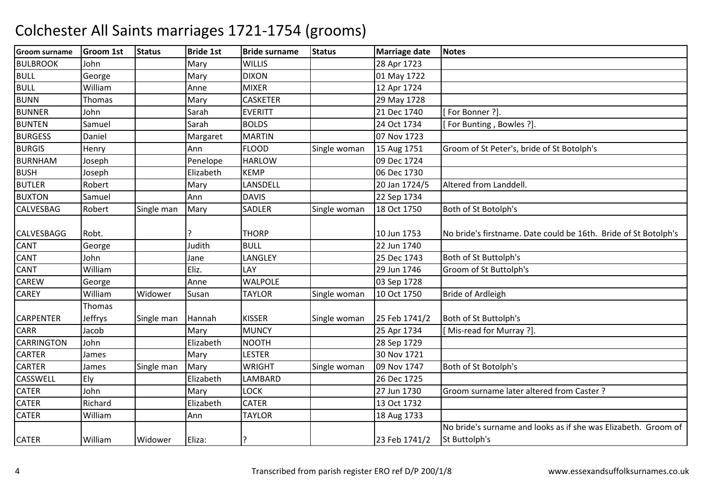| <b>Groom surname</b> | <b>Groom 1st</b> | <b>Status</b> | <b>Bride 1st</b> | <b>Bride surname</b> | <b>Status</b> | <b>Marriage date</b> | <b>Notes</b>                                                    |
|----------------------|------------------|---------------|------------------|----------------------|---------------|----------------------|-----------------------------------------------------------------|
| <b>BULBROOK</b>      | John             |               | Mary             | <b>WILLIS</b>        |               | 28 Apr 1723          |                                                                 |
| <b>BULL</b>          | George           |               | Mary             | <b>DIXON</b>         |               | 01 May 1722          |                                                                 |
| <b>BULL</b>          | William          |               | Anne             | <b>MIXER</b>         |               | 12 Apr 1724          |                                                                 |
| <b>BUNN</b>          | Thomas           |               | Mary             | <b>CASKETER</b>      |               | 29 May 1728          |                                                                 |
| <b>BUNNER</b>        | John             |               | Sarah            | <b>EVERITT</b>       |               | 21 Dec 1740          | For Bonner ?].                                                  |
| <b>BUNTEN</b>        | Samuel           |               | Sarah            | <b>BOLDS</b>         |               | 24 Oct 1734          | [For Bunting, Bowles ?].                                        |
| <b>BURGESS</b>       | Daniel           |               | Margaret         | <b>MARTIN</b>        |               | 07 Nov 1723          |                                                                 |
| <b>BURGIS</b>        | Henry            |               | Ann              | <b>FLOOD</b>         | Single woman  | 15 Aug 1751          | Groom of St Peter's, bride of St Botolph's                      |
| <b>BURNHAM</b>       | Joseph           |               | Penelope         | <b>HARLOW</b>        |               | 09 Dec 1724          |                                                                 |
| <b>BUSH</b>          | Joseph           |               | Elizabeth        | <b>KEMP</b>          |               | 06 Dec 1730          |                                                                 |
| <b>BUTLER</b>        | Robert           |               | Mary             | LANSDELL             |               | 20 Jan 1724/5        | Altered from Landdell.                                          |
| <b>BUXTON</b>        | Samuel           |               | Ann              | <b>DAVIS</b>         |               | 22 Sep 1734          |                                                                 |
| <b>CALVESBAG</b>     | Robert           | Single man    | Mary             | <b>SADLER</b>        | Single woman  | 18 Oct 1750          | Both of St Botolph's                                            |
|                      |                  |               |                  |                      |               |                      |                                                                 |
| <b>CALVESBAGG</b>    | Robt.            |               |                  | <b>THORP</b>         |               | 10 Jun 1753          | No bride's firstname. Date could be 16th. Bride of St Botolph's |
| <b>CANT</b>          | George           |               | Judith           | <b>BULL</b>          |               | 22 Jun 1740          |                                                                 |
| <b>CANT</b>          | John             |               | Jane             | LANGLEY              |               | 25 Dec 1743          | Both of St Buttolph's                                           |
| <b>CANT</b>          | William          |               | Eliz.            | LAY                  |               | 29 Jun 1746          | Groom of St Buttolph's                                          |
| <b>CAREW</b>         | George           |               | Anne             | <b>WALPOLE</b>       |               | 03 Sep 1728          |                                                                 |
| <b>CAREY</b>         | William          | Widower       | Susan            | <b>TAYLOR</b>        | Single woman  | 10 Oct 1750          | <b>Bride of Ardleigh</b>                                        |
|                      | Thomas           |               |                  |                      |               |                      |                                                                 |
| <b>CARPENTER</b>     | <b>Jeffrys</b>   | Single man    | Hannah           | <b>KISSER</b>        | Single woman  | 25 Feb 1741/2        | Both of St Buttolph's                                           |
| <b>CARR</b>          | Jacob            |               | Mary             | <b>MUNCY</b>         |               | 25 Apr 1734          | [Mis-read for Murray ?].                                        |
| <b>CARRINGTON</b>    | John             |               | Elizabeth        | <b>NOOTH</b>         |               | 28 Sep 1729          |                                                                 |
| <b>CARTER</b>        | James            |               | Mary             | <b>LESTER</b>        |               | 30 Nov 1721          |                                                                 |
| <b>CARTER</b>        | James            | Single man    | Mary             | <b>WRIGHT</b>        | Single woman  | 09 Nov 1747          | Both of St Botolph's                                            |
| <b>CASSWELL</b>      | Ely              |               | Elizabeth        | LAMBARD              |               | 26 Dec 1725          |                                                                 |
| <b>CATER</b>         | John             |               | Mary             | <b>LOCK</b>          |               | 27 Jun 1730          | Groom surname later altered from Caster?                        |
| <b>CATER</b>         | Richard          |               | Elizabeth        | <b>CATER</b>         |               | 13 Oct 1732          |                                                                 |
| <b>CATER</b>         | William          |               | Ann              | <b>TAYLOR</b>        |               | 18 Aug 1733          |                                                                 |
|                      |                  |               |                  |                      |               |                      | No bride's surname and looks as if she was Elizabeth. Groom of  |
| <b>CATER</b>         | William          | Widower       | Eliza:           |                      |               | 23 Feb 1741/2        | St Buttolph's                                                   |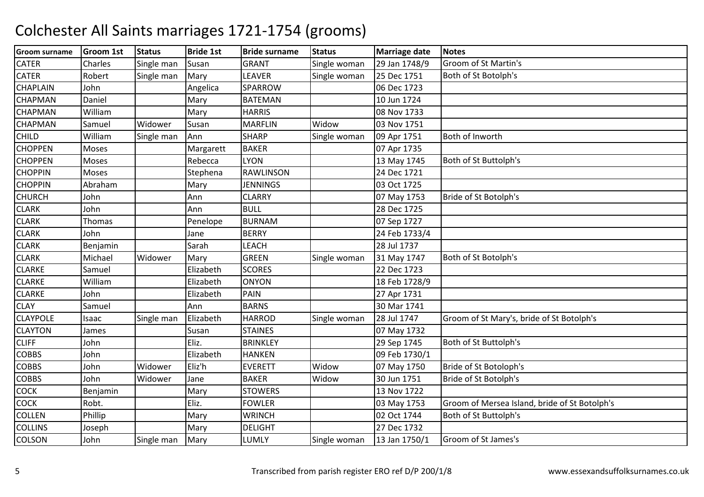| <b>Groom surname</b> | <b>Groom 1st</b> | <b>Status</b> | <b>Bride 1st</b> | <b>Bride surname</b> | <b>Status</b> | <b>Marriage date</b> | <b>Notes</b>                                  |
|----------------------|------------------|---------------|------------------|----------------------|---------------|----------------------|-----------------------------------------------|
| <b>CATER</b>         | Charles          | Single man    | Susan            | <b>GRANT</b>         | Single woman  | 29 Jan 1748/9        | Groom of St Martin's                          |
| <b>CATER</b>         | Robert           | Single man    | Mary             | LEAVER               | Single woman  | 25 Dec 1751          | Both of St Botolph's                          |
| <b>CHAPLAIN</b>      | John             |               | Angelica         | SPARROW              |               | 06 Dec 1723          |                                               |
| <b>CHAPMAN</b>       | Daniel           |               | Mary             | <b>BATEMAN</b>       |               | 10 Jun 1724          |                                               |
| <b>CHAPMAN</b>       | William          |               | Mary             | <b>HARRIS</b>        |               | 08 Nov 1733          |                                               |
| <b>CHAPMAN</b>       | Samuel           | Widower       | Susan            | <b>MARFLIN</b>       | Widow         | 03 Nov 1751          |                                               |
| <b>CHILD</b>         | William          | Single man    | Ann              | <b>SHARP</b>         | Single woman  | 09 Apr 1751          | Both of Inworth                               |
| <b>CHOPPEN</b>       | Moses            |               | Margarett        | <b>BAKER</b>         |               | 07 Apr 1735          |                                               |
| <b>CHOPPEN</b>       | Moses            |               | Rebecca          | <b>LYON</b>          |               | 13 May 1745          | Both of St Buttolph's                         |
| <b>CHOPPIN</b>       | Moses            |               | Stephena         | <b>RAWLINSON</b>     |               | 24 Dec 1721          |                                               |
| <b>CHOPPIN</b>       | Abraham          |               | Mary             | <b>JENNINGS</b>      |               | 03 Oct 1725          |                                               |
| <b>CHURCH</b>        | John             |               | Ann              | <b>CLARRY</b>        |               | 07 May 1753          | Bride of St Botolph's                         |
| <b>CLARK</b>         | John             |               | Ann              | <b>BULL</b>          |               | 28 Dec 1725          |                                               |
| <b>CLARK</b>         | Thomas           |               | Penelope         | <b>BURNAM</b>        |               | 07 Sep 1727          |                                               |
| <b>CLARK</b>         | John             |               | Jane             | <b>BERRY</b>         |               | 24 Feb 1733/4        |                                               |
| <b>CLARK</b>         | Benjamin         |               | Sarah            | LEACH                |               | 28 Jul 1737          |                                               |
| <b>CLARK</b>         | Michael          | Widower       | Mary             | <b>GREEN</b>         | Single woman  | 31 May 1747          | Both of St Botolph's                          |
| <b>CLARKE</b>        | Samuel           |               | Elizabeth        | <b>SCORES</b>        |               | 22 Dec 1723          |                                               |
| <b>CLARKE</b>        | William          |               | Elizabeth        | <b>ONYON</b>         |               | 18 Feb 1728/9        |                                               |
| <b>CLARKE</b>        | John             |               | Elizabeth        | PAIN                 |               | 27 Apr 1731          |                                               |
| <b>CLAY</b>          | Samuel           |               | Ann              | <b>BARNS</b>         |               | 30 Mar 1741          |                                               |
| <b>CLAYPOLE</b>      | Isaac            | Single man    | Elizabeth        | <b>HARROD</b>        | Single woman  | 28 Jul 1747          | Groom of St Mary's, bride of St Botolph's     |
| <b>CLAYTON</b>       | James            |               | Susan            | <b>STAINES</b>       |               | 07 May 1732          |                                               |
| <b>CLIFF</b>         | John             |               | Eliz.            | <b>BRINKLEY</b>      |               | 29 Sep 1745          | Both of St Buttolph's                         |
| <b>COBBS</b>         | John             |               | Elizabeth        | <b>HANKEN</b>        |               | 09 Feb 1730/1        |                                               |
| <b>COBBS</b>         | John             | Widower       | Eliz'h           | <b>EVERETT</b>       | Widow         | 07 May 1750          | Bride of St Botoloph's                        |
| <b>COBBS</b>         | John             | Widower       | Jane             | <b>BAKER</b>         | Widow         | 30 Jun 1751          | Bride of St Botolph's                         |
| <b>COCK</b>          | Benjamin         |               | Mary             | <b>STOWERS</b>       |               | 13 Nov 1722          |                                               |
| <b>COCK</b>          | Robt.            |               | Eliz.            | <b>FOWLER</b>        |               | 03 May 1753          | Groom of Mersea Island, bride of St Botolph's |
| <b>COLLEN</b>        | Phillip          |               | Mary             | <b>WRINCH</b>        |               | 02 Oct 1744          | Both of St Buttolph's                         |
| <b>COLLINS</b>       | Joseph           |               | Mary             | <b>DELIGHT</b>       |               | 27 Dec 1732          |                                               |
| <b>COLSON</b>        | John             | Single man    | Mary             | LUMLY                | Single woman  | 13 Jan 1750/1        | Groom of St James's                           |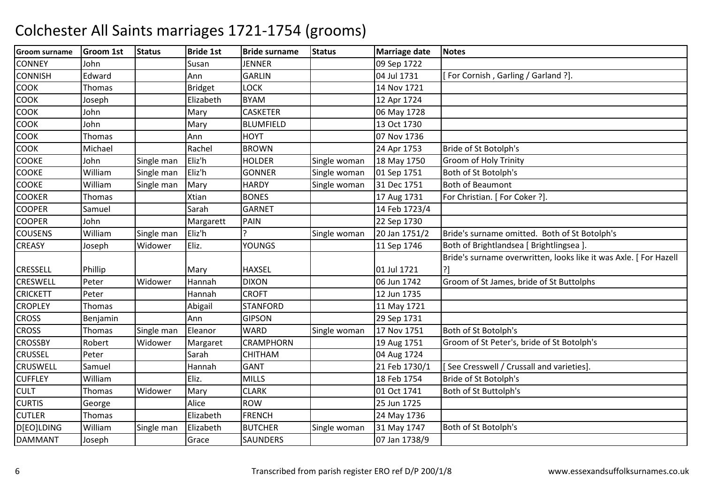| <b>Groom surname</b> | <b>Groom 1st</b> | <b>Status</b> | <b>Bride 1st</b> | <b>Bride surname</b> | <b>Status</b> | <b>Marriage date</b> | <b>Notes</b>                                                      |
|----------------------|------------------|---------------|------------------|----------------------|---------------|----------------------|-------------------------------------------------------------------|
| <b>CONNEY</b>        | John             |               | Susan            | <b>JENNER</b>        |               | 09 Sep 1722          |                                                                   |
| <b>CONNISH</b>       | Edward           |               | Ann              | <b>GARLIN</b>        |               | 04 Jul 1731          | [For Cornish, Garling / Garland ?].                               |
| <b>COOK</b>          | Thomas           |               | <b>Bridget</b>   | <b>LOCK</b>          |               | 14 Nov 1721          |                                                                   |
| <b>COOK</b>          | Joseph           |               | Elizabeth        | <b>BYAM</b>          |               | 12 Apr 1724          |                                                                   |
| <b>COOK</b>          | John             |               | Mary             | <b>CASKETER</b>      |               | 06 May 1728          |                                                                   |
| <b>COOK</b>          | John             |               | Mary             | <b>BLUMFIELD</b>     |               | 13 Oct 1730          |                                                                   |
| <b>COOK</b>          | Thomas           |               | Ann              | <b>HOYT</b>          |               | 07 Nov 1736          |                                                                   |
| <b>COOK</b>          | Michael          |               | Rachel           | <b>BROWN</b>         |               | 24 Apr 1753          | Bride of St Botolph's                                             |
| <b>COOKE</b>         | John             | Single man    | Eliz'h           | <b>HOLDER</b>        | Single woman  | 18 May 1750          | Groom of Holy Trinity                                             |
| <b>COOKE</b>         | William          | Single man    | Eliz'h           | <b>GONNER</b>        | Single woman  | 01 Sep 1751          | Both of St Botolph's                                              |
| <b>COOKE</b>         | William          | Single man    | Mary             | <b>HARDY</b>         | Single woman  | 31 Dec 1751          | <b>Both of Beaumont</b>                                           |
| <b>COOKER</b>        | <b>Thomas</b>    |               | <b>Xtian</b>     | <b>BONES</b>         |               | 17 Aug 1731          | For Christian. [ For Coker ?].                                    |
| <b>COOPER</b>        | Samuel           |               | Sarah            | <b>GARNET</b>        |               | 14 Feb 1723/4        |                                                                   |
| <b>COOPER</b>        | John             |               | Margarett        | PAIN                 |               | 22 Sep 1730          |                                                                   |
| <b>COUSENS</b>       | William          | Single man    | Eliz'h           |                      | Single woman  | 20 Jan 1751/2        | Bride's surname omitted. Both of St Botolph's                     |
| <b>CREASY</b>        | Joseph           | Widower       | Eliz.            | <b>YOUNGS</b>        |               | 11 Sep 1746          | Both of Brightlandsea [ Brightlingsea ].                          |
|                      |                  |               |                  |                      |               |                      | Bride's surname overwritten, looks like it was Axle. [ For Hazell |
| <b>CRESSELL</b>      | Phillip          |               | Mary             | <b>HAXSEL</b>        |               | 01 Jul 1721          | ?]                                                                |
| <b>CRESWELL</b>      | Peter            | Widower       | Hannah           | <b>DIXON</b>         |               | 06 Jun 1742          | Groom of St James, bride of St Buttolphs                          |
| <b>CRICKETT</b>      | Peter            |               | Hannah           | <b>CROFT</b>         |               | 12 Jun 1735          |                                                                   |
| <b>CROPLEY</b>       | <b>Thomas</b>    |               | Abigail          | <b>STANFORD</b>      |               | 11 May 1721          |                                                                   |
| <b>CROSS</b>         | Benjamin         |               | Ann              | <b>GIPSON</b>        |               | 29 Sep 1731          |                                                                   |
| <b>CROSS</b>         | <b>Thomas</b>    | Single man    | Eleanor          | <b>WARD</b>          | Single woman  | 17 Nov 1751          | Both of St Botolph's                                              |
| <b>CROSSBY</b>       | Robert           | Widower       | Margaret         | <b>CRAMPHORN</b>     |               | 19 Aug 1751          | Groom of St Peter's, bride of St Botolph's                        |
| <b>CRUSSEL</b>       | Peter            |               | Sarah            | CHITHAM              |               | 04 Aug 1724          |                                                                   |
| <b>CRUSWELL</b>      | Samuel           |               | Hannah           | <b>GANT</b>          |               | 21 Feb 1730/1        | [See Cresswell / Crussall and varieties].                         |
| <b>CUFFLEY</b>       | William          |               | Eliz.            | <b>MILLS</b>         |               | 18 Feb 1754          | Bride of St Botolph's                                             |
| <b>CULT</b>          | Thomas           | Widower       | Mary             | <b>CLARK</b>         |               | 01 Oct 1741          | Both of St Buttolph's                                             |
| <b>CURTIS</b>        | George           |               | Alice            | <b>ROW</b>           |               | 25 Jun 1725          |                                                                   |
| <b>CUTLER</b>        | Thomas           |               | Elizabeth        | <b>FRENCH</b>        |               | 24 May 1736          |                                                                   |
| D[EO]LDING           | William          | Single man    | Elizabeth        | <b>BUTCHER</b>       | Single woman  | 31 May 1747          | Both of St Botolph's                                              |
| <b>DAMMANT</b>       | Joseph           |               | Grace            | <b>SAUNDERS</b>      |               | 07 Jan 1738/9        |                                                                   |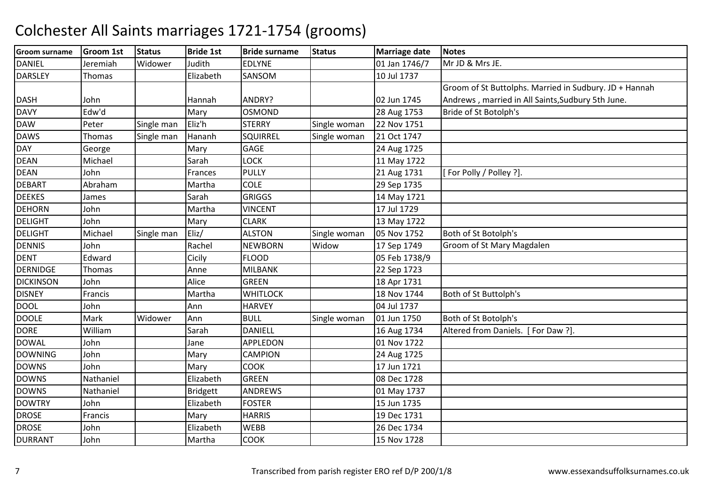| <b>Groom surname</b> | Groom 1st | <b>Status</b> | <b>Bride 1st</b> | <b>Bride surname</b> | <b>Status</b> | <b>Marriage date</b> | <b>Notes</b>                                           |
|----------------------|-----------|---------------|------------------|----------------------|---------------|----------------------|--------------------------------------------------------|
| <b>DANIEL</b>        | Jeremiah  | Widower       | Judith           | <b>EDLYNE</b>        |               | 01 Jan 1746/7        | Mr JD & Mrs JE.                                        |
| <b>DARSLEY</b>       | Thomas    |               | Elizabeth        | SANSOM               |               | 10 Jul 1737          |                                                        |
|                      |           |               |                  |                      |               |                      | Groom of St Buttolphs. Married in Sudbury. JD + Hannah |
| <b>DASH</b>          | John      |               | Hannah           | ANDRY?               |               | 02 Jun 1745          | Andrews, married in All Saints, Sudbury 5th June.      |
| <b>DAVY</b>          | Edw'd     |               | Mary             | OSMOND               |               | 28 Aug 1753          | Bride of St Botolph's                                  |
| <b>DAW</b>           | Peter     | Single man    | Eliz'h           | <b>STERRY</b>        | Single woman  | 22 Nov 1751          |                                                        |
| <b>DAWS</b>          | Thomas    | Single man    | Hananh           | SQUIRREL             | Single woman  | 21 Oct 1747          |                                                        |
| <b>DAY</b>           | George    |               | Mary             | <b>GAGE</b>          |               | 24 Aug 1725          |                                                        |
| <b>DEAN</b>          | Michael   |               | Sarah            | <b>LOCK</b>          |               | 11 May 1722          |                                                        |
| <b>DEAN</b>          | John      |               | Frances          | <b>PULLY</b>         |               | 21 Aug 1731          | [For Polly / Polley ?].                                |
| <b>DEBART</b>        | Abraham   |               | Martha           | <b>COLE</b>          |               | 29 Sep 1735          |                                                        |
| <b>DEEKES</b>        | James     |               | Sarah            | <b>GRIGGS</b>        |               | 14 May 1721          |                                                        |
| <b>DEHORN</b>        | John      |               | Martha           | <b>VINCENT</b>       |               | 17 Jul 1729          |                                                        |
| <b>DELIGHT</b>       | John      |               | Mary             | <b>CLARK</b>         |               | 13 May 1722          |                                                        |
| <b>DELIGHT</b>       | Michael   | Single man    | Eliz/            | <b>ALSTON</b>        | Single woman  | 05 Nov 1752          | Both of St Botolph's                                   |
| <b>DENNIS</b>        | John      |               | Rachel           | <b>NEWBORN</b>       | Widow         | 17 Sep 1749          | Groom of St Mary Magdalen                              |
| <b>DENT</b>          | Edward    |               | Cicily           | <b>FLOOD</b>         |               | 05 Feb 1738/9        |                                                        |
| <b>DERNIDGE</b>      | Thomas    |               | Anne             | <b>MILBANK</b>       |               | 22 Sep 1723          |                                                        |
| <b>DICKINSON</b>     | John      |               | Alice            | <b>GREEN</b>         |               | 18 Apr 1731          |                                                        |
| <b>DISNEY</b>        | Francis   |               | Martha           | <b>WHITLOCK</b>      |               | 18 Nov 1744          | Both of St Buttolph's                                  |
| <b>DOOL</b>          | John      |               | Ann              | <b>HARVEY</b>        |               | 04 Jul 1737          |                                                        |
| <b>DOOLE</b>         | Mark      | Widower       | Ann              | <b>BULL</b>          | Single woman  | 01 Jun 1750          | Both of St Botolph's                                   |
| <b>DORE</b>          | William   |               | Sarah            | DANIELL              |               | 16 Aug 1734          | Altered from Daniels. [For Daw ?].                     |
| <b>DOWAL</b>         | John      |               | Jane             | <b>APPLEDON</b>      |               | 01 Nov 1722          |                                                        |
| <b>DOWNING</b>       | John      |               | Mary             | <b>CAMPION</b>       |               | 24 Aug 1725          |                                                        |
| <b>DOWNS</b>         | John      |               | Mary             | <b>COOK</b>          |               | 17 Jun 1721          |                                                        |
| <b>DOWNS</b>         | Nathaniel |               | Elizabeth        | <b>GREEN</b>         |               | 08 Dec 1728          |                                                        |
| <b>DOWNS</b>         | Nathaniel |               | <b>Bridgett</b>  | <b>ANDREWS</b>       |               | 01 May 1737          |                                                        |
| <b>DOWTRY</b>        | John      |               | Elizabeth        | <b>FOSTER</b>        |               | 15 Jun 1735          |                                                        |
| <b>DROSE</b>         | Francis   |               | Mary             | <b>HARRIS</b>        |               | 19 Dec 1731          |                                                        |
| <b>DROSE</b>         | John      |               | Elizabeth        | <b>WEBB</b>          |               | 26 Dec 1734          |                                                        |
| <b>DURRANT</b>       | John      |               | Martha           | COOK                 |               | 15 Nov 1728          |                                                        |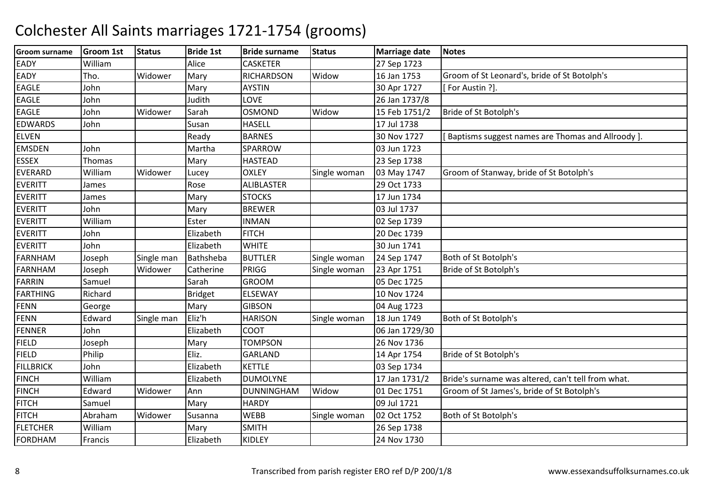| <b>Groom surname</b> | <b>Groom 1st</b> | <b>Status</b> | <b>Bride 1st</b> | <b>Bride surname</b> | <b>Status</b> | <b>Marriage date</b> | <b>Notes</b>                                       |
|----------------------|------------------|---------------|------------------|----------------------|---------------|----------------------|----------------------------------------------------|
| <b>EADY</b>          | William          |               | Alice            | <b>CASKETER</b>      |               | 27 Sep 1723          |                                                    |
| EADY                 | Tho.             | Widower       | Mary             | <b>RICHARDSON</b>    | Widow         | 16 Jan 1753          | Groom of St Leonard's, bride of St Botolph's       |
| <b>EAGLE</b>         | John             |               | Mary             | <b>AYSTIN</b>        |               | 30 Apr 1727          | [For Austin ?].                                    |
| <b>EAGLE</b>         | John             |               | Judith           | LOVE                 |               | 26 Jan 1737/8        |                                                    |
| <b>EAGLE</b>         | John             | Widower       | Sarah            | <b>OSMOND</b>        | Widow         | 15 Feb 1751/2        | Bride of St Botolph's                              |
| <b>EDWARDS</b>       | John             |               | Susan            | <b>HASELL</b>        |               | 17 Jul 1738          |                                                    |
| <b>ELVEN</b>         |                  |               | Ready            | <b>BARNES</b>        |               | 30 Nov 1727          | Baptisms suggest names are Thomas and Allroody ].  |
| <b>EMSDEN</b>        | John             |               | Martha           | <b>SPARROW</b>       |               | 03 Jun 1723          |                                                    |
| <b>ESSEX</b>         | Thomas           |               | Mary             | <b>HASTEAD</b>       |               | 23 Sep 1738          |                                                    |
| <b>EVERARD</b>       | William          | Widower       | Lucey            | <b>OXLEY</b>         | Single woman  | 03 May 1747          | Groom of Stanway, bride of St Botolph's            |
| <b>EVERITT</b>       | James            |               | Rose             | <b>ALIBLASTER</b>    |               | 29 Oct 1733          |                                                    |
| <b>EVERITT</b>       | James            |               | Mary             | <b>STOCKS</b>        |               | 17 Jun 1734          |                                                    |
| <b>EVERITT</b>       | John             |               | Mary             | <b>BREWER</b>        |               | 03 Jul 1737          |                                                    |
| <b>EVERITT</b>       | William          |               | Ester            | <b>INMAN</b>         |               | 02 Sep 1739          |                                                    |
| <b>EVERITT</b>       | John             |               | Elizabeth        | <b>FITCH</b>         |               | 20 Dec 1739          |                                                    |
| <b>EVERITT</b>       | John             |               | Elizabeth        | <b>WHITE</b>         |               | 30 Jun 1741          |                                                    |
| <b>FARNHAM</b>       | Joseph           | Single man    | Bathsheba        | <b>BUTTLER</b>       | Single woman  | 24 Sep 1747          | Both of St Botolph's                               |
| FARNHAM              | Joseph           | Widower       | Catherine        | PRIGG                | Single woman  | 23 Apr 1751          | Bride of St Botolph's                              |
| <b>FARRIN</b>        | Samuel           |               | Sarah            | <b>GROOM</b>         |               | 05 Dec 1725          |                                                    |
| FARTHING             | Richard          |               | Bridget          | ELSEWAY              |               | 10 Nov 1724          |                                                    |
| FENN                 | George           |               | Mary             | <b>GIBSON</b>        |               | 04 Aug 1723          |                                                    |
| FENN                 | Edward           | Single man    | Eliz'h           | <b>HARISON</b>       | Single woman  | 18 Jun 1749          | Both of St Botolph's                               |
| <b>FENNER</b>        | John             |               | Elizabeth        | <b>COOT</b>          |               | 06 Jan 1729/30       |                                                    |
| <b>FIELD</b>         | Joseph           |               | Mary             | <b>TOMPSON</b>       |               | 26 Nov 1736          |                                                    |
| <b>FIELD</b>         | Philip           |               | Eliz.            | GARLAND              |               | 14 Apr 1754          | Bride of St Botolph's                              |
| <b>FILLBRICK</b>     | John             |               | Elizabeth        | <b>KETTLE</b>        |               | 03 Sep 1734          |                                                    |
| <b>FINCH</b>         | William          |               | Elizabeth        | <b>DUMOLYNE</b>      |               | 17 Jan 1731/2        | Bride's surname was altered, can't tell from what. |
| <b>FINCH</b>         | Edward           | Widower       | Ann              | <b>DUNNINGHAM</b>    | Widow         | 01 Dec 1751          | Groom of St James's, bride of St Botolph's         |
| FTCH                 | Samuel           |               | Mary             | <b>HARDY</b>         |               | 09 Jul 1721          |                                                    |
| <b>FITCH</b>         | Abraham          | Widower       | Susanna          | <b>WEBB</b>          | Single woman  | 02 Oct 1752          | Both of St Botolph's                               |
| <b>FLETCHER</b>      | William          |               | Mary             | <b>SMITH</b>         |               | 26 Sep 1738          |                                                    |
| FORDHAM              | Francis          |               | Elizabeth        | <b>KIDLEY</b>        |               | 24 Nov 1730          |                                                    |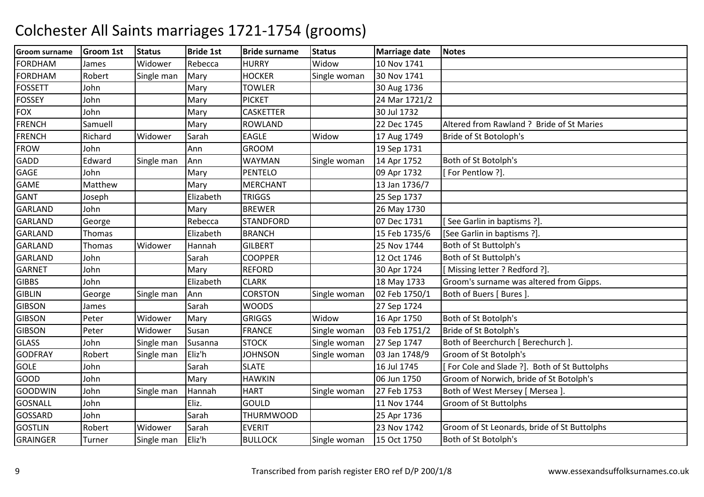| <b>Groom surname</b> | <b>Groom 1st</b> | <b>Status</b> | <b>Bride 1st</b> | <b>Bride surname</b> | <b>Status</b> | <b>Marriage date</b> | <b>Notes</b>                                 |
|----------------------|------------------|---------------|------------------|----------------------|---------------|----------------------|----------------------------------------------|
| <b>FORDHAM</b>       | James            | Widower       | Rebecca          | <b>HURRY</b>         | Widow         | 10 Nov 1741          |                                              |
| <b>FORDHAM</b>       | Robert           | Single man    | Mary             | <b>HOCKER</b>        | Single woman  | 30 Nov 1741          |                                              |
| <b>FOSSETT</b>       | John             |               | Mary             | <b>TOWLER</b>        |               | 30 Aug 1736          |                                              |
| <b>FOSSEY</b>        | John             |               | Mary             | <b>PICKET</b>        |               | 24 Mar 1721/2        |                                              |
| <b>FOX</b>           | John             |               | Mary             | <b>CASKETTER</b>     |               | 30 Jul 1732          |                                              |
| <b>FRENCH</b>        | Samuell          |               | Mary             | <b>ROWLAND</b>       |               | 22 Dec 1745          | Altered from Rawland ? Bride of St Maries    |
| <b>FRENCH</b>        | Richard          | Widower       | Sarah            | <b>EAGLE</b>         | Widow         | 17 Aug 1749          | Bride of St Botoloph's                       |
| <b>FROW</b>          | John             |               | Ann              | <b>GROOM</b>         |               | 19 Sep 1731          |                                              |
| <b>GADD</b>          | Edward           | Single man    | Ann              | <b>WAYMAN</b>        | Single woman  | 14 Apr 1752          | Both of St Botolph's                         |
| <b>GAGE</b>          | John             |               | Mary             | <b>PENTELO</b>       |               | 09 Apr 1732          | [For Pentlow ?].                             |
| <b>GAME</b>          | Matthew          |               | Mary             | <b>MERCHANT</b>      |               | 13 Jan 1736/7        |                                              |
| <b>GANT</b>          | Joseph           |               | Elizabeth        | <b>TRIGGS</b>        |               | 25 Sep 1737          |                                              |
| <b>GARLAND</b>       | John             |               | Mary             | <b>BREWER</b>        |               | 26 May 1730          |                                              |
| <b>GARLAND</b>       | George           |               | Rebecca          | <b>STANDFORD</b>     |               | 07 Dec 1731          | See Garlin in baptisms ?].                   |
| <b>GARLAND</b>       | Thomas           |               | Elizabeth        | <b>BRANCH</b>        |               | 15 Feb 1735/6        | [See Garlin in baptisms ?].                  |
| <b>GARLAND</b>       | <b>Thomas</b>    | Widower       | Hannah           | <b>GILBERT</b>       |               | 25 Nov 1744          | Both of St Buttolph's                        |
| <b>GARLAND</b>       | John             |               | Sarah            | <b>COOPPER</b>       |               | 12 Oct 1746          | Both of St Buttolph's                        |
| <b>GARNET</b>        | John             |               | Mary             | <b>REFORD</b>        |               | 30 Apr 1724          | [Missing letter ? Redford ?].                |
| <b>GIBBS</b>         | John             |               | Elizabeth        | <b>CLARK</b>         |               | 18 May 1733          | Groom's surname was altered from Gipps.      |
| <b>GIBLIN</b>        | George           | Single man    | Ann              | <b>CORSTON</b>       | Single woman  | 02 Feb 1750/1        | Both of Buers [ Bures ]                      |
| <b>GIBSON</b>        | James            |               | Sarah            | <b>WOODS</b>         |               | 27 Sep 1724          |                                              |
| <b>GIBSON</b>        | Peter            | Widower       | Mary             | <b>GRIGGS</b>        | Widow         | 16 Apr 1750          | Both of St Botolph's                         |
| <b>GIBSON</b>        | Peter            | Widower       | Susan            | <b>FRANCE</b>        | Single woman  | 03 Feb 1751/2        | Bride of St Botolph's                        |
| <b>GLASS</b>         | John             | Single man    | Susanna          | <b>STOCK</b>         | Single woman  | 27 Sep 1747          | Both of Beerchurch [ Berechurch ].           |
| <b>GODFRAY</b>       | Robert           | Single man    | Eliz'h           | <b>JOHNSON</b>       | Single woman  | 03 Jan 1748/9        | Groom of St Botolph's                        |
| <b>GOLE</b>          | John             |               | Sarah            | <b>SLATE</b>         |               | 16 Jul 1745          | [For Cole and Slade ?]. Both of St Buttolphs |
| <b>GOOD</b>          | John             |               | Mary             | <b>HAWKIN</b>        |               | 06 Jun 1750          | Groom of Norwich, bride of St Botolph's      |
| <b>GOODWIN</b>       | John             | Single man    | Hannah           | <b>HART</b>          | Single woman  | 27 Feb 1753          | Both of West Mersey [ Mersea ].              |
| <b>GOSNALL</b>       | John             |               | Eliz.            | GOULD                |               | 11 Nov 1744          | <b>Groom of St Buttolphs</b>                 |
| GOSSARD              | John             |               | Sarah            | <b>THURMWOOD</b>     |               | 25 Apr 1736          |                                              |
| <b>GOSTLIN</b>       | Robert           | Widower       | Sarah            | <b>EVERIT</b>        |               | 23 Nov 1742          | Groom of St Leonards, bride of St Buttolphs  |
| <b>GRAINGER</b>      | <b>Turner</b>    | Single man    | Eliz'h           | <b>BULLOCK</b>       | Single woman  | 15 Oct 1750          | Both of St Botolph's                         |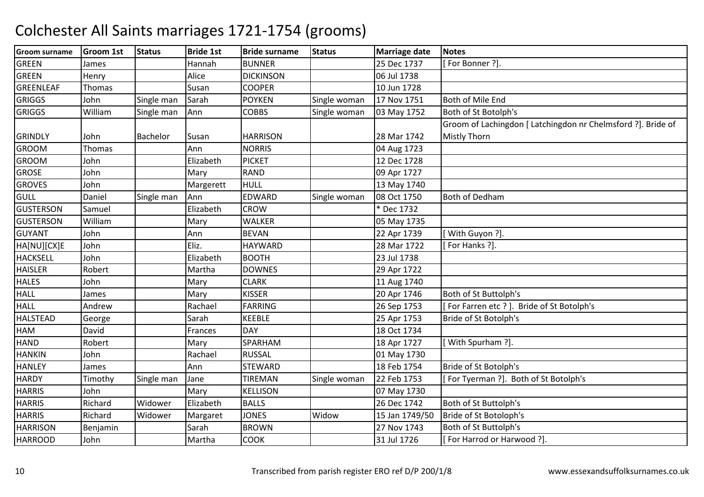| <b>Groom surname</b> | <b>Groom 1st</b> | <b>Status</b> | <b>Bride 1st</b> | <b>Bride surname</b> | <b>Status</b> | <b>Marriage date</b> | <b>Notes</b>                                                 |
|----------------------|------------------|---------------|------------------|----------------------|---------------|----------------------|--------------------------------------------------------------|
| <b>GREEN</b>         | James            |               | Hannah           | <b>BUNNER</b>        |               | 25 Dec 1737          | For Bonner?]                                                 |
| <b>GREEN</b>         | Henry            |               | Alice            | <b>DICKINSON</b>     |               | 06 Jul 1738          |                                                              |
| <b>GREENLEAF</b>     | Thomas           |               | Susan            | <b>COOPER</b>        |               | 10 Jun 1728          |                                                              |
| <b>GRIGGS</b>        | John             | Single man    | Sarah            | <b>POYKEN</b>        | Single woman  | 17 Nov 1751          | Both of Mile End                                             |
| <b>GRIGGS</b>        | William          | Single man    | Ann              | <b>COBBS</b>         | Single woman  | 03 May 1752          | Both of St Botolph's                                         |
|                      |                  |               |                  |                      |               |                      | Groom of Lachingdon [ Latchingdon nr Chelmsford ?]. Bride of |
| <b>GRINDLY</b>       | John             | Bachelor      | Susan            | <b>HARRISON</b>      |               | 28 Mar 1742          | <b>Mistly Thorn</b>                                          |
| <b>GROOM</b>         | Thomas           |               | Ann              | <b>NORRIS</b>        |               | 04 Aug 1723          |                                                              |
| <b>GROOM</b>         | John             |               | Elizabeth        | <b>PICKET</b>        |               | 12 Dec 1728          |                                                              |
| <b>GROSE</b>         | John             |               | Mary             | <b>RAND</b>          |               | 09 Apr 1727          |                                                              |
| <b>GROVES</b>        | John             |               | Margerett        | <b>HULL</b>          |               | 13 May 1740          |                                                              |
| GULL                 | Daniel           | Single man    | Ann              | EDWARD               | Single woman  | 08 Oct 1750          | Both of Dedham                                               |
| <b>GUSTERSON</b>     | Samuel           |               | Elizabeth        | <b>CROW</b>          |               | * Dec 1732           |                                                              |
| <b>GUSTERSON</b>     | William          |               | Mary             | <b>WALKER</b>        |               | 05 May 1735          |                                                              |
| <b>GUYANT</b>        | John             |               | Ann              | <b>BEVAN</b>         |               | 22 Apr 1739          | With Guyon ?].                                               |
| HA[NU][CX]E          | John             |               | Eliz.            | <b>HAYWARD</b>       |               | 28 Mar 1722          | For Hanks ?].                                                |
| <b>HACKSELL</b>      | John             |               | Elizabeth        | <b>BOOTH</b>         |               | 23 Jul 1738          |                                                              |
| <b>HAISLER</b>       | Robert           |               | Martha           | <b>DOWNES</b>        |               | 29 Apr 1722          |                                                              |
| <b>HALES</b>         | John             |               | Mary             | <b>CLARK</b>         |               | 11 Aug 1740          |                                                              |
| <b>HALL</b>          | James            |               | Mary             | <b>KISSER</b>        |               | 20 Apr 1746          | Both of St Buttolph's                                        |
| <b>HALL</b>          | Andrew           |               | Rachael          | <b>FARRING</b>       |               | 26 Sep 1753          | For Farren etc ? ]. Bride of St Botolph's                    |
| <b>HALSTEAD</b>      | George           |               | Sarah            | <b>KEEBLE</b>        |               | 25 Apr 1753          | Bride of St Botolph's                                        |
| <b>HAM</b>           | David            |               | Frances          | <b>DAY</b>           |               | 18 Oct 1734          |                                                              |
| <b>HAND</b>          | Robert           |               | Mary             | SPARHAM              |               | 18 Apr 1727          | With Spurham ?].                                             |
| <b>HANKIN</b>        | John             |               | Rachael          | <b>RUSSAL</b>        |               | 01 May 1730          |                                                              |
| <b>HANLEY</b>        | James            |               | Ann              | <b>STEWARD</b>       |               | 18 Feb 1754          | Bride of St Botolph's                                        |
| <b>HARDY</b>         | Timothy          | Single man    | Jane             | <b>TIREMAN</b>       | Single woman  | 22 Feb 1753          | For Tyerman ?]. Both of St Botolph's                         |
| <b>HARRIS</b>        | John             |               | Mary             | <b>KELLISON</b>      |               | 07 May 1730          |                                                              |
| <b>HARRIS</b>        | Richard          | Widower       | Elizabeth        | <b>BALLS</b>         |               | 26 Dec 1742          | Both of St Buttolph's                                        |
| <b>HARRIS</b>        | Richard          | Widower       | Margaret         | <b>JONES</b>         | Widow         | 15 Jan 1749/50       | Bride of St Botoloph's                                       |
| <b>HARRISON</b>      | Benjamin         |               | Sarah            | <b>BROWN</b>         |               | 27 Nov 1743          | Both of St Buttolph's                                        |
| <b>HARROOD</b>       | John             |               | Martha           | <b>COOK</b>          |               | 31 Jul 1726          | [For Harrod or Harwood ?].                                   |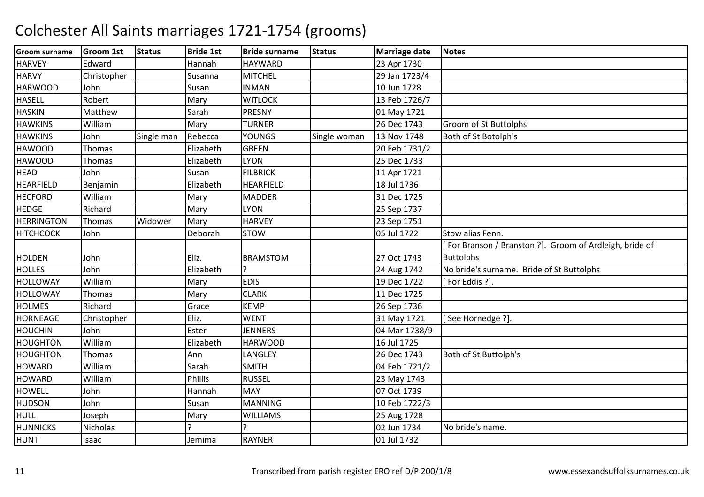| Groom surname     | <b>Groom 1st</b> | <b>Status</b> | <b>Bride 1st</b> | <b>Bride surname</b> | <b>Status</b> | <b>Marriage date</b> | <b>Notes</b>                                           |
|-------------------|------------------|---------------|------------------|----------------------|---------------|----------------------|--------------------------------------------------------|
| <b>HARVEY</b>     | Edward           |               | Hannah           | <b>HAYWARD</b>       |               | 23 Apr 1730          |                                                        |
| <b>HARVY</b>      | Christopher      |               | Susanna          | <b>MITCHEL</b>       |               | 29 Jan 1723/4        |                                                        |
| <b>HARWOOD</b>    | John             |               | Susan            | <b>INMAN</b>         |               | 10 Jun 1728          |                                                        |
| <b>HASELL</b>     | Robert           |               | Mary             | <b>WITLOCK</b>       |               | 13 Feb 1726/7        |                                                        |
| <b>HASKIN</b>     | Matthew          |               | Sarah            | <b>PRESNY</b>        |               | 01 May 1721          |                                                        |
| <b>HAWKINS</b>    | William          |               | Mary             | <b>TURNER</b>        |               | 26 Dec 1743          | Groom of St Buttolphs                                  |
| <b>HAWKINS</b>    | John             | Single man    | Rebecca          | YOUNGS               | Single woman  | 13 Nov 1748          | Both of St Botolph's                                   |
| <b>HAWOOD</b>     | Thomas           |               | Elizabeth        | <b>GREEN</b>         |               | 20 Feb 1731/2        |                                                        |
| <b>HAWOOD</b>     | Thomas           |               | Elizabeth        | <b>LYON</b>          |               | 25 Dec 1733          |                                                        |
| <b>HEAD</b>       | John             |               | Susan            | <b>FILBRICK</b>      |               | 11 Apr 1721          |                                                        |
| <b>HEARFIELD</b>  | Benjamin         |               | Elizabeth        | <b>HEARFIELD</b>     |               | 18 Jul 1736          |                                                        |
| <b>HECFORD</b>    | William          |               | Mary             | <b>MADDER</b>        |               | 31 Dec 1725          |                                                        |
| <b>HEDGE</b>      | Richard          |               | Mary             | <b>LYON</b>          |               | 25 Sep 1737          |                                                        |
| <b>HERRINGTON</b> | Thomas           | Widower       | Mary             | <b>HARVEY</b>        |               | 23 Sep 1751          |                                                        |
| <b>HITCHCOCK</b>  | John             |               | Deborah          | <b>STOW</b>          |               | 05 Jul 1722          | Stow alias Fenn.                                       |
|                   |                  |               |                  |                      |               |                      | For Branson / Branston ?]. Groom of Ardleigh, bride of |
| HOLDEN            | John             |               | Eliz.            | <b>BRAMSTOM</b>      |               | 27 Oct 1743          | <b>Buttolphs</b>                                       |
| <b>HOLLES</b>     | John             |               | Elizabeth        |                      |               | 24 Aug 1742          | No bride's surname. Bride of St Buttolphs              |
| <b>HOLLOWAY</b>   | William          |               | Mary             | <b>EDIS</b>          |               | 19 Dec 1722          | [For Eddis ?].                                         |
| <b>HOLLOWAY</b>   | Thomas           |               | Mary             | <b>CLARK</b>         |               | 11 Dec 1725          |                                                        |
| <b>HOLMES</b>     | Richard          |               | Grace            | <b>KEMP</b>          |               | 26 Sep 1736          |                                                        |
| <b>HORNEAGE</b>   | Christopher      |               | Eliz.            | <b>WENT</b>          |               | 31 May 1721          | [See Hornedge ?].                                      |
| <b>HOUCHIN</b>    | John             |               | Ester            | <b>JENNERS</b>       |               | 04 Mar 1738/9        |                                                        |
| <b>HOUGHTON</b>   | William          |               | Elizabeth        | <b>HARWOOD</b>       |               | 16 Jul 1725          |                                                        |
| <b>HOUGHTON</b>   | Thomas           |               | Ann              | LANGLEY              |               | 26 Dec 1743          | Both of St Buttolph's                                  |
| <b>HOWARD</b>     | William          |               | Sarah            | <b>SMITH</b>         |               | 04 Feb 1721/2        |                                                        |
| <b>HOWARD</b>     | William          |               | Phillis          | <b>RUSSEL</b>        |               | 23 May 1743          |                                                        |
| <b>HOWELL</b>     | John             |               | Hannah           | <b>MAY</b>           |               | 07 Oct 1739          |                                                        |
| HUDSON            | John             |               | Susan            | <b>MANNING</b>       |               | 10 Feb 1722/3        |                                                        |
| HULL              | Joseph           |               | Mary             | <b>WILLIAMS</b>      |               | 25 Aug 1728          |                                                        |
| <b>HUNNICKS</b>   | Nicholas         |               |                  |                      |               | 02 Jun 1734          | No bride's name.                                       |
| <b>HUNT</b>       | Isaac            |               | Jemima           | <b>RAYNER</b>        |               | 01 Jul 1732          |                                                        |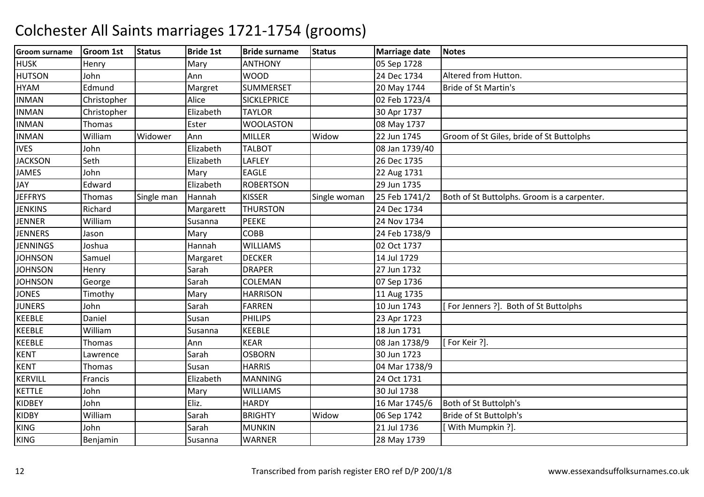| <b>HUSK</b><br>Mary<br><b>ANTHONY</b><br>05 Sep 1728<br>Henry<br><b>HUTSON</b><br><b>WOOD</b><br>24 Dec 1734<br>Altered from Hutton.<br>Ann<br>John<br><b>SUMMERSET</b><br><b>HYAM</b><br>Edmund<br>20 May 1744<br>Bride of St Martin's<br>Margret<br>02 Feb 1723/4<br><b>INMAN</b><br>Alice<br><b>SICKLEPRICE</b><br>Christopher<br><b>INMAN</b><br>Elizabeth<br>30 Apr 1737<br><b>TAYLOR</b><br>Christopher<br>Thomas<br>Ester<br><b>WOOLASTON</b><br>08 May 1737<br>Widow<br>22 Jun 1745<br><b>INMAN</b><br>William<br>Widower<br>Ann<br><b>MILLER</b><br>Groom of St Giles, bride of St Buttolphs<br><b>IVES</b><br><b>TALBOT</b><br>08 Jan 1739/40<br>John<br>Elizabeth<br><b>JACKSON</b><br>26 Dec 1735<br>Seth<br><b>LAFLEY</b><br>Elizabeth<br><b>EAGLE</b><br><b>JAMES</b><br>John<br>Mary<br>22 Aug 1731<br>JAY<br>Edward<br>Elizabeth<br><b>ROBERTSON</b><br>29 Jun 1735<br><b>JEFFRYS</b><br>25 Feb 1741/2<br><b>KISSER</b><br>Single man<br>Hannah<br>Both of St Buttolphs. Groom is a carpenter.<br>Thomas<br>Single woman<br><b>JENKINS</b><br>Richard<br><b>THURSTON</b><br>24 Dec 1734<br>Margarett<br><b>JENNER</b><br><b>PEEKE</b><br>William<br>Susanna<br>24 Nov 1734<br><b>COBB</b><br><b>JENNERS</b><br>Mary<br>24 Feb 1738/9<br>Jason<br><b>JENNINGS</b><br>Hannah<br><b>WILLIAMS</b><br>02 Oct 1737<br>Joshua<br><b>JOHNSON</b><br><b>DECKER</b><br>14 Jul 1729<br>Samuel<br>Margaret<br><b>JOHNSON</b><br><b>DRAPER</b><br>27 Jun 1732<br>Sarah<br>Henry<br><b>JOHNSON</b><br>Sarah<br>COLEMAN<br>07 Sep 1736<br>George<br><b>JONES</b><br><b>HARRISON</b><br>11 Aug 1735<br>Timothy<br>Mary<br>10 Jun 1743<br><b>JUNERS</b><br><b>FARREN</b><br>[For Jenners ?]. Both of St Buttolphs<br>Sarah<br>John<br><b>PHILIPS</b><br>Daniel<br>Susan<br>23 Apr 1723<br><b>KEEBLE</b><br><b>KEEBLE</b><br>18 Jun 1731<br>William<br>Susanna<br><b>KEEBLE</b><br><b>KEAR</b><br>08 Jan 1738/9<br>[For Keir ?].<br>Ann<br>Thomas<br><b>KENT</b><br><b>OSBORN</b><br>30 Jun 1723<br>Sarah<br>Lawrence<br><b>HARRIS</b><br>04 Mar 1738/9<br>Susan<br>Thomas<br><b>KERVILL</b><br>Elizabeth<br><b>MANNING</b><br>24 Oct 1731<br>Francis<br><b>KETTLE</b><br>30 Jul 1738<br>John<br>Mary<br><b>WILLIAMS</b><br>Eliz.<br><b>HARDY</b><br>16 Mar 1745/6<br>Both of St Buttolph's<br>John<br>William<br><b>BRIGHTY</b><br>Widow<br>06 Sep 1742<br>Bride of St Buttolph's<br>Sarah<br>21 Jul 1736<br>[With Mumpkin ?].<br>Sarah<br><b>MUNKIN</b><br>John<br>28 May 1739<br><b>WARNER</b><br>Benjamin<br>Susanna | <b>Groom surname</b> | <b>Groom 1st</b> | <b>Status</b> | <b>Bride 1st</b> | <b>Bride surname</b> | <b>Status</b> | <b>Marriage date</b> | <b>Notes</b> |
|------------------------------------------------------------------------------------------------------------------------------------------------------------------------------------------------------------------------------------------------------------------------------------------------------------------------------------------------------------------------------------------------------------------------------------------------------------------------------------------------------------------------------------------------------------------------------------------------------------------------------------------------------------------------------------------------------------------------------------------------------------------------------------------------------------------------------------------------------------------------------------------------------------------------------------------------------------------------------------------------------------------------------------------------------------------------------------------------------------------------------------------------------------------------------------------------------------------------------------------------------------------------------------------------------------------------------------------------------------------------------------------------------------------------------------------------------------------------------------------------------------------------------------------------------------------------------------------------------------------------------------------------------------------------------------------------------------------------------------------------------------------------------------------------------------------------------------------------------------------------------------------------------------------------------------------------------------------------------------------------------------------------------------------------------------------------------------------------------------------------------------------------------------------------------------------------------------------------------------------------------------------------------------------------------------------------------------------------------------------------------------------------------------------------------------------------------------------------------------------------------------------------|----------------------|------------------|---------------|------------------|----------------------|---------------|----------------------|--------------|
|                                                                                                                                                                                                                                                                                                                                                                                                                                                                                                                                                                                                                                                                                                                                                                                                                                                                                                                                                                                                                                                                                                                                                                                                                                                                                                                                                                                                                                                                                                                                                                                                                                                                                                                                                                                                                                                                                                                                                                                                                                                                                                                                                                                                                                                                                                                                                                                                                                                                                                                        |                      |                  |               |                  |                      |               |                      |              |
|                                                                                                                                                                                                                                                                                                                                                                                                                                                                                                                                                                                                                                                                                                                                                                                                                                                                                                                                                                                                                                                                                                                                                                                                                                                                                                                                                                                                                                                                                                                                                                                                                                                                                                                                                                                                                                                                                                                                                                                                                                                                                                                                                                                                                                                                                                                                                                                                                                                                                                                        |                      |                  |               |                  |                      |               |                      |              |
|                                                                                                                                                                                                                                                                                                                                                                                                                                                                                                                                                                                                                                                                                                                                                                                                                                                                                                                                                                                                                                                                                                                                                                                                                                                                                                                                                                                                                                                                                                                                                                                                                                                                                                                                                                                                                                                                                                                                                                                                                                                                                                                                                                                                                                                                                                                                                                                                                                                                                                                        |                      |                  |               |                  |                      |               |                      |              |
|                                                                                                                                                                                                                                                                                                                                                                                                                                                                                                                                                                                                                                                                                                                                                                                                                                                                                                                                                                                                                                                                                                                                                                                                                                                                                                                                                                                                                                                                                                                                                                                                                                                                                                                                                                                                                                                                                                                                                                                                                                                                                                                                                                                                                                                                                                                                                                                                                                                                                                                        |                      |                  |               |                  |                      |               |                      |              |
|                                                                                                                                                                                                                                                                                                                                                                                                                                                                                                                                                                                                                                                                                                                                                                                                                                                                                                                                                                                                                                                                                                                                                                                                                                                                                                                                                                                                                                                                                                                                                                                                                                                                                                                                                                                                                                                                                                                                                                                                                                                                                                                                                                                                                                                                                                                                                                                                                                                                                                                        |                      |                  |               |                  |                      |               |                      |              |
|                                                                                                                                                                                                                                                                                                                                                                                                                                                                                                                                                                                                                                                                                                                                                                                                                                                                                                                                                                                                                                                                                                                                                                                                                                                                                                                                                                                                                                                                                                                                                                                                                                                                                                                                                                                                                                                                                                                                                                                                                                                                                                                                                                                                                                                                                                                                                                                                                                                                                                                        | <b>INMAN</b>         |                  |               |                  |                      |               |                      |              |
|                                                                                                                                                                                                                                                                                                                                                                                                                                                                                                                                                                                                                                                                                                                                                                                                                                                                                                                                                                                                                                                                                                                                                                                                                                                                                                                                                                                                                                                                                                                                                                                                                                                                                                                                                                                                                                                                                                                                                                                                                                                                                                                                                                                                                                                                                                                                                                                                                                                                                                                        |                      |                  |               |                  |                      |               |                      |              |
|                                                                                                                                                                                                                                                                                                                                                                                                                                                                                                                                                                                                                                                                                                                                                                                                                                                                                                                                                                                                                                                                                                                                                                                                                                                                                                                                                                                                                                                                                                                                                                                                                                                                                                                                                                                                                                                                                                                                                                                                                                                                                                                                                                                                                                                                                                                                                                                                                                                                                                                        |                      |                  |               |                  |                      |               |                      |              |
|                                                                                                                                                                                                                                                                                                                                                                                                                                                                                                                                                                                                                                                                                                                                                                                                                                                                                                                                                                                                                                                                                                                                                                                                                                                                                                                                                                                                                                                                                                                                                                                                                                                                                                                                                                                                                                                                                                                                                                                                                                                                                                                                                                                                                                                                                                                                                                                                                                                                                                                        |                      |                  |               |                  |                      |               |                      |              |
|                                                                                                                                                                                                                                                                                                                                                                                                                                                                                                                                                                                                                                                                                                                                                                                                                                                                                                                                                                                                                                                                                                                                                                                                                                                                                                                                                                                                                                                                                                                                                                                                                                                                                                                                                                                                                                                                                                                                                                                                                                                                                                                                                                                                                                                                                                                                                                                                                                                                                                                        |                      |                  |               |                  |                      |               |                      |              |
|                                                                                                                                                                                                                                                                                                                                                                                                                                                                                                                                                                                                                                                                                                                                                                                                                                                                                                                                                                                                                                                                                                                                                                                                                                                                                                                                                                                                                                                                                                                                                                                                                                                                                                                                                                                                                                                                                                                                                                                                                                                                                                                                                                                                                                                                                                                                                                                                                                                                                                                        |                      |                  |               |                  |                      |               |                      |              |
|                                                                                                                                                                                                                                                                                                                                                                                                                                                                                                                                                                                                                                                                                                                                                                                                                                                                                                                                                                                                                                                                                                                                                                                                                                                                                                                                                                                                                                                                                                                                                                                                                                                                                                                                                                                                                                                                                                                                                                                                                                                                                                                                                                                                                                                                                                                                                                                                                                                                                                                        |                      |                  |               |                  |                      |               |                      |              |
|                                                                                                                                                                                                                                                                                                                                                                                                                                                                                                                                                                                                                                                                                                                                                                                                                                                                                                                                                                                                                                                                                                                                                                                                                                                                                                                                                                                                                                                                                                                                                                                                                                                                                                                                                                                                                                                                                                                                                                                                                                                                                                                                                                                                                                                                                                                                                                                                                                                                                                                        |                      |                  |               |                  |                      |               |                      |              |
|                                                                                                                                                                                                                                                                                                                                                                                                                                                                                                                                                                                                                                                                                                                                                                                                                                                                                                                                                                                                                                                                                                                                                                                                                                                                                                                                                                                                                                                                                                                                                                                                                                                                                                                                                                                                                                                                                                                                                                                                                                                                                                                                                                                                                                                                                                                                                                                                                                                                                                                        |                      |                  |               |                  |                      |               |                      |              |
|                                                                                                                                                                                                                                                                                                                                                                                                                                                                                                                                                                                                                                                                                                                                                                                                                                                                                                                                                                                                                                                                                                                                                                                                                                                                                                                                                                                                                                                                                                                                                                                                                                                                                                                                                                                                                                                                                                                                                                                                                                                                                                                                                                                                                                                                                                                                                                                                                                                                                                                        |                      |                  |               |                  |                      |               |                      |              |
|                                                                                                                                                                                                                                                                                                                                                                                                                                                                                                                                                                                                                                                                                                                                                                                                                                                                                                                                                                                                                                                                                                                                                                                                                                                                                                                                                                                                                                                                                                                                                                                                                                                                                                                                                                                                                                                                                                                                                                                                                                                                                                                                                                                                                                                                                                                                                                                                                                                                                                                        |                      |                  |               |                  |                      |               |                      |              |
|                                                                                                                                                                                                                                                                                                                                                                                                                                                                                                                                                                                                                                                                                                                                                                                                                                                                                                                                                                                                                                                                                                                                                                                                                                                                                                                                                                                                                                                                                                                                                                                                                                                                                                                                                                                                                                                                                                                                                                                                                                                                                                                                                                                                                                                                                                                                                                                                                                                                                                                        |                      |                  |               |                  |                      |               |                      |              |
|                                                                                                                                                                                                                                                                                                                                                                                                                                                                                                                                                                                                                                                                                                                                                                                                                                                                                                                                                                                                                                                                                                                                                                                                                                                                                                                                                                                                                                                                                                                                                                                                                                                                                                                                                                                                                                                                                                                                                                                                                                                                                                                                                                                                                                                                                                                                                                                                                                                                                                                        |                      |                  |               |                  |                      |               |                      |              |
|                                                                                                                                                                                                                                                                                                                                                                                                                                                                                                                                                                                                                                                                                                                                                                                                                                                                                                                                                                                                                                                                                                                                                                                                                                                                                                                                                                                                                                                                                                                                                                                                                                                                                                                                                                                                                                                                                                                                                                                                                                                                                                                                                                                                                                                                                                                                                                                                                                                                                                                        |                      |                  |               |                  |                      |               |                      |              |
|                                                                                                                                                                                                                                                                                                                                                                                                                                                                                                                                                                                                                                                                                                                                                                                                                                                                                                                                                                                                                                                                                                                                                                                                                                                                                                                                                                                                                                                                                                                                                                                                                                                                                                                                                                                                                                                                                                                                                                                                                                                                                                                                                                                                                                                                                                                                                                                                                                                                                                                        |                      |                  |               |                  |                      |               |                      |              |
|                                                                                                                                                                                                                                                                                                                                                                                                                                                                                                                                                                                                                                                                                                                                                                                                                                                                                                                                                                                                                                                                                                                                                                                                                                                                                                                                                                                                                                                                                                                                                                                                                                                                                                                                                                                                                                                                                                                                                                                                                                                                                                                                                                                                                                                                                                                                                                                                                                                                                                                        |                      |                  |               |                  |                      |               |                      |              |
|                                                                                                                                                                                                                                                                                                                                                                                                                                                                                                                                                                                                                                                                                                                                                                                                                                                                                                                                                                                                                                                                                                                                                                                                                                                                                                                                                                                                                                                                                                                                                                                                                                                                                                                                                                                                                                                                                                                                                                                                                                                                                                                                                                                                                                                                                                                                                                                                                                                                                                                        | <b>KEEBLE</b>        |                  |               |                  |                      |               |                      |              |
|                                                                                                                                                                                                                                                                                                                                                                                                                                                                                                                                                                                                                                                                                                                                                                                                                                                                                                                                                                                                                                                                                                                                                                                                                                                                                                                                                                                                                                                                                                                                                                                                                                                                                                                                                                                                                                                                                                                                                                                                                                                                                                                                                                                                                                                                                                                                                                                                                                                                                                                        |                      |                  |               |                  |                      |               |                      |              |
|                                                                                                                                                                                                                                                                                                                                                                                                                                                                                                                                                                                                                                                                                                                                                                                                                                                                                                                                                                                                                                                                                                                                                                                                                                                                                                                                                                                                                                                                                                                                                                                                                                                                                                                                                                                                                                                                                                                                                                                                                                                                                                                                                                                                                                                                                                                                                                                                                                                                                                                        |                      |                  |               |                  |                      |               |                      |              |
|                                                                                                                                                                                                                                                                                                                                                                                                                                                                                                                                                                                                                                                                                                                                                                                                                                                                                                                                                                                                                                                                                                                                                                                                                                                                                                                                                                                                                                                                                                                                                                                                                                                                                                                                                                                                                                                                                                                                                                                                                                                                                                                                                                                                                                                                                                                                                                                                                                                                                                                        |                      |                  |               |                  |                      |               |                      |              |
|                                                                                                                                                                                                                                                                                                                                                                                                                                                                                                                                                                                                                                                                                                                                                                                                                                                                                                                                                                                                                                                                                                                                                                                                                                                                                                                                                                                                                                                                                                                                                                                                                                                                                                                                                                                                                                                                                                                                                                                                                                                                                                                                                                                                                                                                                                                                                                                                                                                                                                                        | <b>KENT</b>          |                  |               |                  |                      |               |                      |              |
|                                                                                                                                                                                                                                                                                                                                                                                                                                                                                                                                                                                                                                                                                                                                                                                                                                                                                                                                                                                                                                                                                                                                                                                                                                                                                                                                                                                                                                                                                                                                                                                                                                                                                                                                                                                                                                                                                                                                                                                                                                                                                                                                                                                                                                                                                                                                                                                                                                                                                                                        |                      |                  |               |                  |                      |               |                      |              |
|                                                                                                                                                                                                                                                                                                                                                                                                                                                                                                                                                                                                                                                                                                                                                                                                                                                                                                                                                                                                                                                                                                                                                                                                                                                                                                                                                                                                                                                                                                                                                                                                                                                                                                                                                                                                                                                                                                                                                                                                                                                                                                                                                                                                                                                                                                                                                                                                                                                                                                                        |                      |                  |               |                  |                      |               |                      |              |
|                                                                                                                                                                                                                                                                                                                                                                                                                                                                                                                                                                                                                                                                                                                                                                                                                                                                                                                                                                                                                                                                                                                                                                                                                                                                                                                                                                                                                                                                                                                                                                                                                                                                                                                                                                                                                                                                                                                                                                                                                                                                                                                                                                                                                                                                                                                                                                                                                                                                                                                        | <b>KIDBEY</b>        |                  |               |                  |                      |               |                      |              |
|                                                                                                                                                                                                                                                                                                                                                                                                                                                                                                                                                                                                                                                                                                                                                                                                                                                                                                                                                                                                                                                                                                                                                                                                                                                                                                                                                                                                                                                                                                                                                                                                                                                                                                                                                                                                                                                                                                                                                                                                                                                                                                                                                                                                                                                                                                                                                                                                                                                                                                                        | <b>KIDBY</b>         |                  |               |                  |                      |               |                      |              |
|                                                                                                                                                                                                                                                                                                                                                                                                                                                                                                                                                                                                                                                                                                                                                                                                                                                                                                                                                                                                                                                                                                                                                                                                                                                                                                                                                                                                                                                                                                                                                                                                                                                                                                                                                                                                                                                                                                                                                                                                                                                                                                                                                                                                                                                                                                                                                                                                                                                                                                                        | <b>KING</b>          |                  |               |                  |                      |               |                      |              |
|                                                                                                                                                                                                                                                                                                                                                                                                                                                                                                                                                                                                                                                                                                                                                                                                                                                                                                                                                                                                                                                                                                                                                                                                                                                                                                                                                                                                                                                                                                                                                                                                                                                                                                                                                                                                                                                                                                                                                                                                                                                                                                                                                                                                                                                                                                                                                                                                                                                                                                                        | <b>KING</b>          |                  |               |                  |                      |               |                      |              |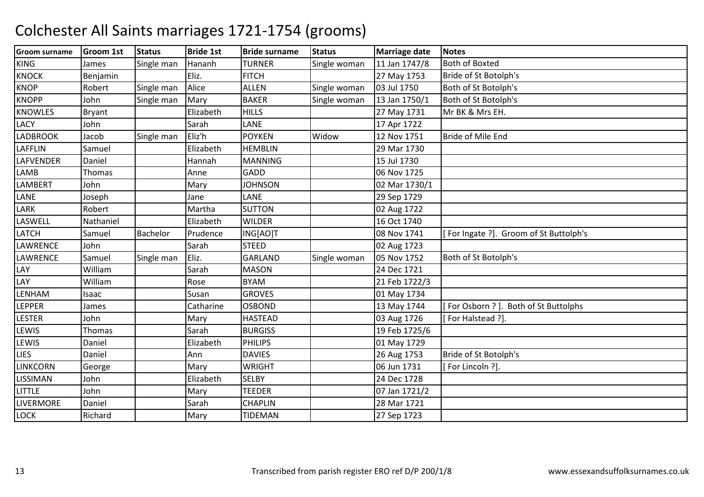| <b>Groom surname</b> | <b>Groom 1st</b> | <b>Status</b> | <b>Bride 1st</b> | <b>Bride surname</b> | <b>Status</b> | <b>Marriage date</b> | <b>Notes</b>                          |
|----------------------|------------------|---------------|------------------|----------------------|---------------|----------------------|---------------------------------------|
| <b>KING</b>          | James            | Single man    | Hananh           | <b>TURNER</b>        | Single woman  | 11 Jan 1747/8        | <b>Both of Boxted</b>                 |
| <b>KNOCK</b>         | Benjamin         |               | Eliz.            | <b>FITCH</b>         |               | 27 May 1753          | Bride of St Botolph's                 |
| <b>KNOP</b>          | Robert           | Single man    | Alice            | <b>ALLEN</b>         | Single woman  | 03 Jul 1750          | Both of St Botolph's                  |
| <b>KNOPP</b>         | John             | Single man    | Mary             | <b>BAKER</b>         | Single woman  | 13 Jan 1750/1        | Both of St Botolph's                  |
| <b>KNOWLES</b>       | Bryant           |               | Elizabeth        | <b>HILLS</b>         |               | 27 May 1731          | Mr BK & Mrs EH.                       |
| <b>LACY</b>          | John             |               | Sarah            | LANE                 |               | 17 Apr 1722          |                                       |
| <b>LADBROOK</b>      | Jacob            | Single man    | Eliz'h           | <b>POYKEN</b>        | Widow         | 12 Nov 1751          | Bride of Mile End                     |
| <b>LAFFLIN</b>       | Samuel           |               | Elizabeth        | <b>HEMBLIN</b>       |               | 29 Mar 1730          |                                       |
| <b>LAFVENDER</b>     | Daniel           |               | Hannah           | <b>MANNING</b>       |               | 15 Jul 1730          |                                       |
| <b>LAMB</b>          | Thomas           |               | Anne             | <b>GADD</b>          |               | 06 Nov 1725          |                                       |
| LAMBERT              | John             |               | Mary             | <b>JOHNSON</b>       |               | 02 Mar 1730/1        |                                       |
| LANE                 | Joseph           |               | Jane             | LANE                 |               | 29 Sep 1729          |                                       |
| LARK                 | Robert           |               | Martha           | <b>SUTTON</b>        |               | 02 Aug 1722          |                                       |
| LASWELL              | Nathaniel        |               | Elizabeth        | <b>WILDER</b>        |               | 16 Oct 1740          |                                       |
| <b>LATCH</b>         | Samuel           | Bachelor      | Prudence         | ING[AO]T             |               | 08 Nov 1741          | For Ingate ?]. Groom of St Buttolph's |
| LAWRENCE             | John             |               | Sarah            | <b>STEED</b>         |               | 02 Aug 1723          |                                       |
| <b>LAWRENCE</b>      | Samuel           | Single man    | Eliz.            | <b>GARLAND</b>       | Single woman  | 05 Nov 1752          | Both of St Botolph's                  |
| LAY                  | William          |               | Sarah            | <b>MASON</b>         |               | 24 Dec 1721          |                                       |
| LAY                  | William          |               | Rose             | <b>BYAM</b>          |               | 21 Feb 1722/3        |                                       |
| <b>LENHAM</b>        | Isaac            |               | Susan            | <b>GROVES</b>        |               | 01 May 1734          |                                       |
| <b>LEPPER</b>        | James            |               | Catharine        | <b>OSBOND</b>        |               | 13 May 1744          | For Osborn ? ]. Both of St Buttolphs  |
| <b>LESTER</b>        | John             |               | Mary             | <b>HASTEAD</b>       |               | 03 Aug 1726          | For Halstead ?].                      |
| LEWIS                | Thomas           |               | Sarah            | <b>BURGISS</b>       |               | 19 Feb 1725/6        |                                       |
| LEWIS                | Daniel           |               | Elizabeth        | <b>PHILIPS</b>       |               | 01 May 1729          |                                       |
| <b>LIES</b>          | Daniel           |               | Ann              | <b>DAVIES</b>        |               | 26 Aug 1753          | Bride of St Botolph's                 |
| <b>LINKCORN</b>      | George           |               | Mary             | <b>WRIGHT</b>        |               | 06 Jun 1731          | For Lincoln ?].                       |
| <b>LISSIMAN</b>      | John             |               | Elizabeth        | <b>SELBY</b>         |               | 24 Dec 1728          |                                       |
| LITTLE               | John             |               | Mary             | <b>TEEDER</b>        |               | 07 Jan 1721/2        |                                       |
| LIVERMORE            | Daniel           |               | Sarah            | <b>CHAPLIN</b>       |               | 28 Mar 1721          |                                       |
| <b>LOCK</b>          | Richard          |               | Mary             | <b>TIDEMAN</b>       |               | 27 Sep 1723          |                                       |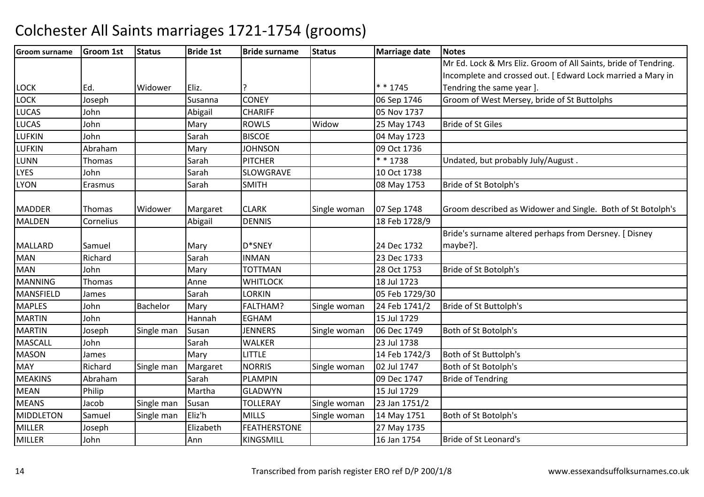| <b>Groom surname</b> | <b>Groom 1st</b> | <b>Status</b> | <b>Bride 1st</b> | <b>Bride surname</b> | <b>Status</b> | <b>Marriage date</b> | <b>Notes</b>                                                    |
|----------------------|------------------|---------------|------------------|----------------------|---------------|----------------------|-----------------------------------------------------------------|
|                      |                  |               |                  |                      |               |                      | Mr Ed. Lock & Mrs Eliz. Groom of All Saints, bride of Tendring. |
|                      |                  |               |                  |                      |               |                      | Incomplete and crossed out. [Edward Lock married a Mary in      |
| <b>LOCK</b>          | Ed.              | Widower       | Eliz.            |                      |               | $* * 1745$           | Tendring the same year ].                                       |
| <b>LOCK</b>          | Joseph           |               | Susanna          | <b>CONEY</b>         |               | 06 Sep 1746          | Groom of West Mersey, bride of St Buttolphs                     |
| <b>LUCAS</b>         | John             |               | Abigail          | <b>CHARIFF</b>       |               | 05 Nov 1737          |                                                                 |
| <b>LUCAS</b>         | John             |               | Mary             | <b>ROWLS</b>         | Widow         | 25 May 1743          | <b>Bride of St Giles</b>                                        |
| <b>LUFKIN</b>        | John             |               | Sarah            | <b>BISCOE</b>        |               | 04 May 1723          |                                                                 |
| LUFKIN               | Abraham          |               | Mary             | <b>JOHNSON</b>       |               | 09 Oct 1736          |                                                                 |
| <b>LUNN</b>          | Thomas           |               | Sarah            | PITCHER              |               | * * 1738             | Undated, but probably July/August.                              |
| <b>LYES</b>          | John             |               | Sarah            | <b>SLOWGRAVE</b>     |               | 10 Oct 1738          |                                                                 |
| <b>LYON</b>          | Erasmus          |               | Sarah            | <b>SMITH</b>         |               | 08 May 1753          | Bride of St Botolph's                                           |
|                      |                  |               |                  |                      |               |                      |                                                                 |
| <b>MADDER</b>        | Thomas           | Widower       | Margaret         | <b>CLARK</b>         | Single woman  | 07 Sep 1748          | Groom described as Widower and Single. Both of St Botolph's     |
| MALDEN               | Cornelius        |               | Abigail          | <b>DENNIS</b>        |               | 18 Feb 1728/9        |                                                                 |
|                      |                  |               |                  |                      |               |                      | Bride's surname altered perhaps from Dersney. [ Disney          |
| <b>MALLARD</b>       | Samuel           |               | Mary             | D*SNEY               |               | 24 Dec 1732          | maybe?].                                                        |
| <b>MAN</b>           | Richard          |               | Sarah            | <b>INMAN</b>         |               | 23 Dec 1733          |                                                                 |
| <b>MAN</b>           | John             |               | Mary             | <b>TOTTMAN</b>       |               | 28 Oct 1753          | Bride of St Botolph's                                           |
| <b>MANNING</b>       | Thomas           |               | Anne             | <b>WHITLOCK</b>      |               | 18 Jul 1723          |                                                                 |
| MANSFIELD            | James            |               | Sarah            | LORKIN               |               | 05 Feb 1729/30       |                                                                 |
| <b>MAPLES</b>        | John             | Bachelor      | Mary             | FALTHAM?             | Single woman  | 24 Feb 1741/2        | Bride of St Buttolph's                                          |
| <b>MARTIN</b>        | John             |               | Hannah           | <b>EGHAM</b>         |               | 15 Jul 1729          |                                                                 |
| <b>MARTIN</b>        | Joseph           | Single man    | Susan            | <b>JENNERS</b>       | Single woman  | 06 Dec 1749          | Both of St Botolph's                                            |
| <b>MASCALL</b>       | John             |               | Sarah            | <b>WALKER</b>        |               | 23 Jul 1738          |                                                                 |
| <b>MASON</b>         | James            |               | Mary             | <b>LITTLE</b>        |               | 14 Feb 1742/3        | Both of St Buttolph's                                           |
| <b>MAY</b>           | Richard          | Single man    | Margaret         | <b>NORRIS</b>        | Single woman  | 02 Jul 1747          | Both of St Botolph's                                            |
| <b>MEAKINS</b>       | Abraham          |               | Sarah            | <b>PLAMPIN</b>       |               | 09 Dec 1747          | <b>Bride of Tendring</b>                                        |
| <b>MEAN</b>          | Philip           |               | Martha           | <b>GLADWYN</b>       |               | 15 Jul 1729          |                                                                 |
| <b>MEANS</b>         | Jacob            | Single man    | Susan            | <b>TOLLERAY</b>      | Single woman  | 23 Jan 1751/2        |                                                                 |
| MIDDLETON            | Samuel           | Single man    | Eliz'h           | <b>MILLS</b>         | Single woman  | 14 May 1751          | Both of St Botolph's                                            |
| <b>MILLER</b>        | Joseph           |               | Elizabeth        | <b>FEATHERSTONE</b>  |               | 27 May 1735          |                                                                 |
| <b>MILLER</b>        | John             |               | Ann              | <b>KINGSMILL</b>     |               | 16 Jan 1754          | Bride of St Leonard's                                           |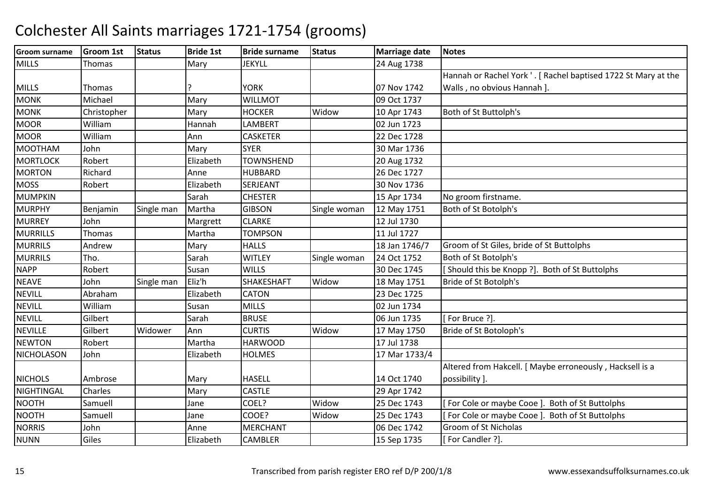| <b>Groom surname</b> | <b>Groom 1st</b> | <b>Status</b> | <b>Bride 1st</b> | <b>Bride surname</b> | <b>Status</b> | <b>Marriage date</b> | <b>Notes</b>                                                   |
|----------------------|------------------|---------------|------------------|----------------------|---------------|----------------------|----------------------------------------------------------------|
| <b>MILLS</b>         | <b>Thomas</b>    |               | Mary             | <b>JEKYLL</b>        |               | 24 Aug 1738          |                                                                |
|                      |                  |               |                  |                      |               |                      | Hannah or Rachel York '. [ Rachel baptised 1722 St Mary at the |
| <b>MILLS</b>         | Thomas           |               |                  | <b>YORK</b>          |               | 07 Nov 1742          | Walls, no obvious Hannah ].                                    |
| <b>MONK</b>          | Michael          |               | Mary             | <b>WILLMOT</b>       |               | 09 Oct 1737          |                                                                |
| <b>MONK</b>          | Christopher      |               | Mary             | <b>HOCKER</b>        | Widow         | 10 Apr 1743          | Both of St Buttolph's                                          |
| <b>MOOR</b>          | William          |               | Hannah           | <b>LAMBERT</b>       |               | 02 Jun 1723          |                                                                |
| <b>MOOR</b>          | William          |               | Ann              | <b>CASKETER</b>      |               | 22 Dec 1728          |                                                                |
| <b>MOOTHAM</b>       | John             |               | Mary             | <b>SYER</b>          |               | 30 Mar 1736          |                                                                |
| <b>MORTLOCK</b>      | Robert           |               | Elizabeth        | <b>TOWNSHEND</b>     |               | 20 Aug 1732          |                                                                |
| <b>MORTON</b>        | Richard          |               | Anne             | <b>HUBBARD</b>       |               | 26 Dec 1727          |                                                                |
| <b>MOSS</b>          | Robert           |               | Elizabeth        | <b>SERJEANT</b>      |               | 30 Nov 1736          |                                                                |
| <b>MUMPKIN</b>       |                  |               | Sarah            | <b>CHESTER</b>       |               | 15 Apr 1734          | No groom firstname.                                            |
| <b>MURPHY</b>        | Benjamin         | Single man    | Martha           | <b>GIBSON</b>        | Single woman  | 12 May 1751          | Both of St Botolph's                                           |
| <b>MURREY</b>        | John             |               | Margrett         | <b>CLARKE</b>        |               | 12 Jul 1730          |                                                                |
| <b>MURRILLS</b>      | Thomas           |               | Martha           | <b>TOMPSON</b>       |               | 11 Jul 1727          |                                                                |
| <b>MURRILS</b>       | Andrew           |               | Mary             | <b>HALLS</b>         |               | 18 Jan 1746/7        | Groom of St Giles, bride of St Buttolphs                       |
| <b>MURRILS</b>       | Tho.             |               | Sarah            | <b>WITLEY</b>        | Single woman  | 24 Oct 1752          | Both of St Botolph's                                           |
| <b>NAPP</b>          | Robert           |               | Susan            | <b>WILLS</b>         |               | 30 Dec 1745          | [Should this be Knopp ?]. Both of St Buttolphs                 |
| <b>NEAVE</b>         | John             | Single man    | Eliz'h           | <b>SHAKESHAFT</b>    | Widow         | 18 May 1751          | Bride of St Botolph's                                          |
| <b>NEVILL</b>        | Abraham          |               | Elizabeth        | <b>CATON</b>         |               | 23 Dec 1725          |                                                                |
| <b>NEVILL</b>        | William          |               | Susan            | <b>MILLS</b>         |               | 02 Jun 1734          |                                                                |
| <b>NEVILL</b>        | Gilbert          |               | Sarah            | <b>BRUSE</b>         |               | 06 Jun 1735          | [For Bruce ?].                                                 |
| <b>NEVILLE</b>       | Gilbert          | Widower       | Ann              | <b>CURTIS</b>        | Widow         | 17 May 1750          | Bride of St Botoloph's                                         |
| <b>NEWTON</b>        | Robert           |               | Martha           | <b>HARWOOD</b>       |               | 17 Jul 1738          |                                                                |
| <b>NICHOLASON</b>    | John             |               | Elizabeth        | <b>HOLMES</b>        |               | 17 Mar 1733/4        |                                                                |
|                      |                  |               |                  |                      |               |                      | Altered from Hakcell. [ Maybe erroneously, Hacksell is a       |
| <b>NICHOLS</b>       | Ambrose          |               | Mary             | <b>HASELL</b>        |               | 14 Oct 1740          | possibility ].                                                 |
| <b>NIGHTINGAL</b>    | Charles          |               | Mary             | <b>CASTLE</b>        |               | 29 Apr 1742          |                                                                |
| <b>NOOTH</b>         | Samuell          |               | Jane             | COEL?                | Widow         | 25 Dec 1743          | [For Cole or maybe Cooe]. Both of St Buttolphs                 |
| <b>NOOTH</b>         | Samuell          |               | Jane             | COOE?                | Widow         | 25 Dec 1743          | [For Cole or maybe Cooe]. Both of St Buttolphs                 |
| <b>NORRIS</b>        | John             |               | Anne             | <b>MERCHANT</b>      |               | 06 Dec 1742          | Groom of St Nicholas                                           |
| <b>NUNN</b>          | Giles            |               | Elizabeth        | CAMBLER              |               | 15 Sep 1735          | [For Candler ?].                                               |
|                      |                  |               |                  |                      |               |                      |                                                                |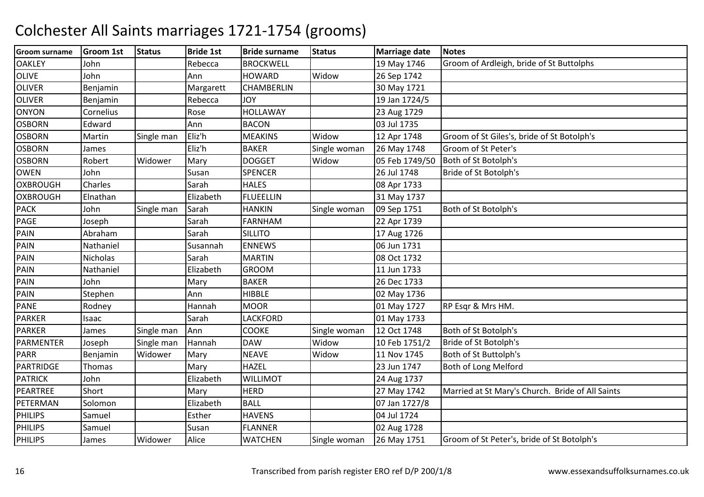| <b>Groom surname</b> | <b>Groom 1st</b> | <b>Status</b> | <b>Bride 1st</b> | <b>Bride surname</b> | <b>Status</b> | <b>Marriage date</b> | <b>Notes</b>                                     |
|----------------------|------------------|---------------|------------------|----------------------|---------------|----------------------|--------------------------------------------------|
| <b>OAKLEY</b>        | John             |               | Rebecca          | <b>BROCKWELL</b>     |               | 19 May 1746          | Groom of Ardleigh, bride of St Buttolphs         |
| <b>OLIVE</b>         | John             |               | Ann              | <b>HOWARD</b>        | Widow         | 26 Sep 1742          |                                                  |
| <b>OLIVER</b>        | Benjamin         |               | Margarett        | <b>CHAMBERLIN</b>    |               | 30 May 1721          |                                                  |
| <b>OLIVER</b>        | Benjamin         |               | Rebecca          | YOL                  |               | 19 Jan 1724/5        |                                                  |
| <b>ONYON</b>         | Cornelius        |               | Rose             | <b>HOLLAWAY</b>      |               | 23 Aug 1729          |                                                  |
| <b>OSBORN</b>        | Edward           |               | Ann              | <b>BACON</b>         |               | 03 Jul 1735          |                                                  |
| <b>OSBORN</b>        | Martin           | Single man    | Eliz'h           | <b>MEAKINS</b>       | Widow         | 12 Apr 1748          | Groom of St Giles's, bride of St Botolph's       |
| <b>OSBORN</b>        | James            |               | Eliz'h           | <b>BAKER</b>         | Single woman  | 26 May 1748          | Groom of St Peter's                              |
| <b>OSBORN</b>        | Robert           | Widower       | Mary             | <b>DOGGET</b>        | Widow         | 05 Feb 1749/50       | Both of St Botolph's                             |
| <b>OWEN</b>          | John             |               | Susan            | <b>SPENCER</b>       |               | 26 Jul 1748          | Bride of St Botolph's                            |
| <b>OXBROUGH</b>      | Charles          |               | Sarah            | <b>HALES</b>         |               | 08 Apr 1733          |                                                  |
| <b>OXBROUGH</b>      | Elnathan         |               | Elizabeth        | <b>FLUEELLIN</b>     |               | 31 May 1737          |                                                  |
| <b>PACK</b>          | John             | Single man    | Sarah            | <b>HANKIN</b>        | Single woman  | 09 Sep 1751          | Both of St Botolph's                             |
| PAGE                 | Joseph           |               | Sarah            | <b>FARNHAM</b>       |               | 22 Apr 1739          |                                                  |
| <b>PAIN</b>          | Abraham          |               | Sarah            | <b>SILLITO</b>       |               | 17 Aug 1726          |                                                  |
| PAIN                 | Nathaniel        |               | Susannah         | <b>ENNEWS</b>        |               | 06 Jun 1731          |                                                  |
| PAIN                 | <b>Nicholas</b>  |               | Sarah            | <b>MARTIN</b>        |               | 08 Oct 1732          |                                                  |
| PAIN                 | Nathaniel        |               | Elizabeth        | <b>GROOM</b>         |               | 11 Jun 1733          |                                                  |
| PAIN                 | John             |               | Mary             | <b>BAKER</b>         |               | 26 Dec 1733          |                                                  |
| PAIN                 | Stephen          |               | Ann              | <b>HIBBLE</b>        |               | 02 May 1736          |                                                  |
| <b>PANE</b>          | Rodney           |               | Hannah           | <b>MOOR</b>          |               | 01 May 1727          | RP Esqr & Mrs HM.                                |
| <b>PARKER</b>        | Isaac            |               | Sarah            | LACKFORD             |               | 01 May 1733          |                                                  |
| <b>PARKER</b>        | James            | Single man    | Ann              | <b>COOKE</b>         | Single woman  | 12 Oct 1748          | Both of St Botolph's                             |
| PARMENTER            | Joseph           | Single man    | Hannah           | <b>DAW</b>           | Widow         | 10 Feb 1751/2        | Bride of St Botolph's                            |
| <b>PARR</b>          | Benjamin         | Widower       | Mary             | <b>NEAVE</b>         | Widow         | 11 Nov 1745          | Both of St Buttolph's                            |
| PARTRIDGE            | Thomas           |               | Mary             | <b>HAZEL</b>         |               | 23 Jun 1747          | Both of Long Melford                             |
| <b>PATRICK</b>       | John             |               | Elizabeth        | <b>WILLIMOT</b>      |               | 24 Aug 1737          |                                                  |
| PEARTREE             | Short            |               | Mary             | <b>HERD</b>          |               | 27 May 1742          | Married at St Mary's Church. Bride of All Saints |
| PETERMAN             | Solomon          |               | Elizabeth        | <b>BALL</b>          |               | 07 Jan 1727/8        |                                                  |
| <b>PHILIPS</b>       | Samuel           |               | Esther           | <b>HAVENS</b>        |               | 04 Jul 1724          |                                                  |
| <b>PHILIPS</b>       | Samuel           |               | Susan            | <b>FLANNER</b>       |               | 02 Aug 1728          |                                                  |
| <b>PHILIPS</b>       | James            | Widower       | Alice            | <b>WATCHEN</b>       | Single woman  | 26 May 1751          | Groom of St Peter's, bride of St Botolph's       |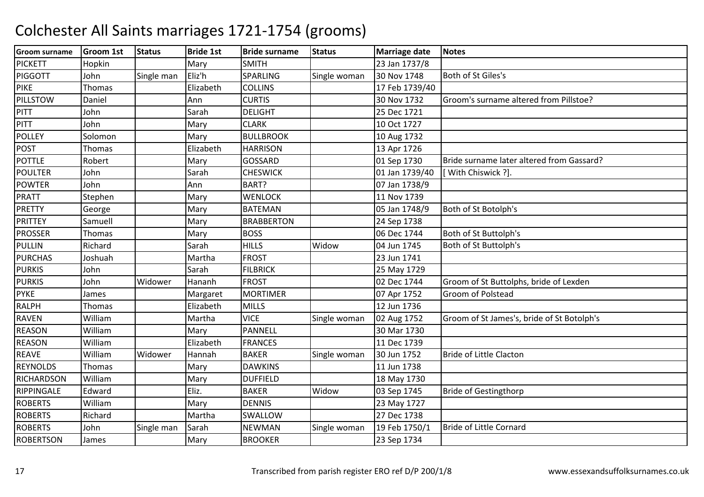| <b>Groom surname</b> | <b>Groom 1st</b> | <b>Status</b> | <b>Bride 1st</b> | <b>Bride surname</b> | <b>Status</b> | <b>Marriage date</b> | <b>Notes</b>                               |
|----------------------|------------------|---------------|------------------|----------------------|---------------|----------------------|--------------------------------------------|
| <b>PICKETT</b>       | Hopkin           |               | Mary             | <b>SMITH</b>         |               | 23 Jan 1737/8        |                                            |
| PIGGOTT              | John             | Single man    | Eliz'h           | <b>SPARLING</b>      | Single woman  | 30 Nov 1748          | Both of St Giles's                         |
| <b>PIKE</b>          | <b>Thomas</b>    |               | Elizabeth        | <b>COLLINS</b>       |               | 17 Feb 1739/40       |                                            |
| PILLSTOW             | Daniel           |               | Ann              | <b>CURTIS</b>        |               | 30 Nov 1732          | Groom's surname altered from Pillstoe?     |
| <b>PITT</b>          | John             |               | Sarah            | <b>DELIGHT</b>       |               | 25 Dec 1721          |                                            |
| PITT                 | John             |               | Mary             | <b>CLARK</b>         |               | 10 Oct 1727          |                                            |
| <b>POLLEY</b>        | Solomon          |               | Mary             | <b>BULLBROOK</b>     |               | 10 Aug 1732          |                                            |
| <b>POST</b>          | Thomas           |               | Elizabeth        | <b>HARRISON</b>      |               | 13 Apr 1726          |                                            |
| <b>POTTLE</b>        | Robert           |               | Mary             | <b>GOSSARD</b>       |               | 01 Sep 1730          | Bride surname later altered from Gassard?  |
| <b>POULTER</b>       | John             |               | Sarah            | <b>CHESWICK</b>      |               | 01 Jan 1739/40       | [ With Chiswick ?]                         |
| <b>POWTER</b>        | John             |               | Ann              | BART?                |               | 07 Jan 1738/9        |                                            |
| <b>PRATT</b>         | Stephen          |               | Mary             | <b>WENLOCK</b>       |               | 11 Nov 1739          |                                            |
| <b>PRETTY</b>        | George           |               | Mary             | <b>BATEMAN</b>       |               | 05 Jan 1748/9        | Both of St Botolph's                       |
| <b>PRITTEY</b>       | Samuell          |               | Mary             | <b>BRABBERTON</b>    |               | 24 Sep 1738          |                                            |
| <b>PROSSER</b>       | Thomas           |               | Mary             | <b>BOSS</b>          |               | 06 Dec 1744          | Both of St Buttolph's                      |
| <b>PULLIN</b>        | Richard          |               | Sarah            | <b>HILLS</b>         | Widow         | 04 Jun 1745          | Both of St Buttolph's                      |
| <b>PURCHAS</b>       | Joshuah          |               | Martha           | <b>FROST</b>         |               | 23 Jun 1741          |                                            |
| <b>PURKIS</b>        | John             |               | Sarah            | <b>FILBRICK</b>      |               | 25 May 1729          |                                            |
| <b>PURKIS</b>        | John             | Widower       | Hananh           | <b>FROST</b>         |               | 02 Dec 1744          | Groom of St Buttolphs, bride of Lexden     |
| <b>PYKE</b>          | James            |               | Margaret         | <b>MORTIMER</b>      |               | 07 Apr 1752          | Groom of Polstead                          |
| <b>RALPH</b>         | Thomas           |               | Elizabeth        | <b>MILLS</b>         |               | 12 Jun 1736          |                                            |
| <b>RAVEN</b>         | William          |               | Martha           | <b>VICE</b>          | Single woman  | 02 Aug 1752          | Groom of St James's, bride of St Botolph's |
| <b>REASON</b>        | William          |               | Mary             | PANNELL              |               | 30 Mar 1730          |                                            |
| <b>REASON</b>        | William          |               | Elizabeth        | <b>FRANCES</b>       |               | 11 Dec 1739          |                                            |
| <b>REAVE</b>         | William          | Widower       | Hannah           | <b>BAKER</b>         | Single woman  | 30 Jun 1752          | <b>Bride of Little Clacton</b>             |
| <b>REYNOLDS</b>      | <b>Thomas</b>    |               | Mary             | <b>DAWKINS</b>       |               | 11 Jun 1738          |                                            |
| <b>RICHARDSON</b>    | William          |               | Mary             | <b>DUFFIELD</b>      |               | 18 May 1730          |                                            |
| RIPPINGALE           | Edward           |               | Eliz.            | <b>BAKER</b>         | Widow         | 03 Sep 1745          | <b>Bride of Gestingthorp</b>               |
| <b>ROBERTS</b>       | William          |               | Mary             | <b>DENNIS</b>        |               | 23 May 1727          |                                            |
| <b>ROBERTS</b>       | Richard          |               | Martha           | <b>SWALLOW</b>       |               | 27 Dec 1738          |                                            |
| <b>ROBERTS</b>       | John             | Single man    | Sarah            | <b>NEWMAN</b>        | Single woman  | 19 Feb 1750/1        | <b>Bride of Little Cornard</b>             |
| <b>ROBERTSON</b>     | James            |               | Mary             | <b>BROOKER</b>       |               | 23 Sep 1734          |                                            |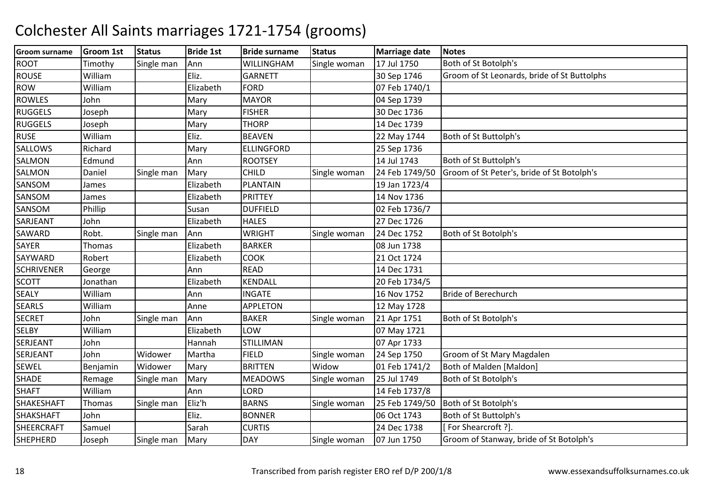| <b>Groom surname</b> | <b>Groom 1st</b> | <b>Status</b> | <b>Bride 1st</b> | <b>Bride surname</b> | <b>Status</b> | <b>Marriage date</b> | <b>Notes</b>                                |
|----------------------|------------------|---------------|------------------|----------------------|---------------|----------------------|---------------------------------------------|
| <b>ROOT</b>          | Timothy          | Single man    | Ann              | WILLINGHAM           | Single woman  | 17 Jul 1750          | Both of St Botolph's                        |
| <b>ROUSE</b>         | William          |               | Eliz.            | <b>GARNETT</b>       |               | 30 Sep 1746          | Groom of St Leonards, bride of St Buttolphs |
| <b>ROW</b>           | William          |               | Elizabeth        | <b>FORD</b>          |               | 07 Feb 1740/1        |                                             |
| <b>ROWLES</b>        | John             |               | Mary             | <b>MAYOR</b>         |               | 04 Sep 1739          |                                             |
| <b>RUGGELS</b>       | Joseph           |               | Mary             | <b>FISHER</b>        |               | 30 Dec 1736          |                                             |
| <b>RUGGELS</b>       | Joseph           |               | Mary             | <b>THORP</b>         |               | 14 Dec 1739          |                                             |
| <b>RUSE</b>          | William          |               | Eliz.            | <b>BEAVEN</b>        |               | 22 May 1744          | Both of St Buttolph's                       |
| SALLOWS              | Richard          |               | Mary             | <b>ELLINGFORD</b>    |               | 25 Sep 1736          |                                             |
| <b>SALMON</b>        | Edmund           |               | Ann              | <b>ROOTSEY</b>       |               | 14 Jul 1743          | Both of St Buttolph's                       |
| <b>SALMON</b>        | Daniel           | Single man    | Mary             | <b>CHILD</b>         | Single woman  | 24 Feb 1749/50       | Groom of St Peter's, bride of St Botolph's  |
| SANSOM               | James            |               | Elizabeth        | PLANTAIN             |               | 19 Jan 1723/4        |                                             |
| SANSOM               | James            |               | Elizabeth        | <b>PRITTEY</b>       |               | 14 Nov 1736          |                                             |
| SANSOM               | Phillip          |               | Susan            | <b>DUFFIELD</b>      |               | 02 Feb 1736/7        |                                             |
| SARJEANT             | John             |               | Elizabeth        | <b>HALES</b>         |               | 27 Dec 1726          |                                             |
| <b>SAWARD</b>        | Robt.            | Single man    | Ann              | <b>WRIGHT</b>        | Single woman  | 24 Dec 1752          | Both of St Botolph's                        |
| <b>SAYER</b>         | Thomas           |               | Elizabeth        | <b>BARKER</b>        |               | 08 Jun 1738          |                                             |
| SAYWARD              | Robert           |               | Elizabeth        | <b>COOK</b>          |               | 21 Oct 1724          |                                             |
| <b>SCHRIVENER</b>    | George           |               | Ann              | <b>READ</b>          |               | 14 Dec 1731          |                                             |
| <b>SCOTT</b>         | Jonathan         |               | Elizabeth        | <b>KENDALL</b>       |               | 20 Feb 1734/5        |                                             |
| <b>SEALY</b>         | William          |               | Ann              | <b>INGATE</b>        |               | 16 Nov 1752          | <b>Bride of Berechurch</b>                  |
| <b>SEARLS</b>        | William          |               | Anne             | <b>APPLETON</b>      |               | 12 May 1728          |                                             |
| <b>SECRET</b>        | John             | Single man    | Ann              | <b>BAKER</b>         | Single woman  | 21 Apr 1751          | Both of St Botolph's                        |
| <b>SELBY</b>         | William          |               | Elizabeth        | LOW                  |               | 07 May 1721          |                                             |
| SERJEANT             | John             |               | Hannah           | <b>STILLIMAN</b>     |               | 07 Apr 1733          |                                             |
| <b>SERJEANT</b>      | John             | Widower       | Martha           | <b>FIELD</b>         | Single woman  | 24 Sep 1750          | Groom of St Mary Magdalen                   |
| <b>SEWEL</b>         | Benjamin         | Widower       | Mary             | <b>BRITTEN</b>       | Widow         | 01 Feb 1741/2        | Both of Malden [Maldon]                     |
| <b>SHADE</b>         | Remage           | Single man    | Mary             | <b>MEADOWS</b>       | Single woman  | 25 Jul 1749          | Both of St Botolph's                        |
| <b>SHAFT</b>         | William          |               | Ann              | LORD                 |               | 14 Feb 1737/8        |                                             |
| <b>SHAKESHAFT</b>    | Thomas           | Single man    | Eliz'h           | <b>BARNS</b>         | Single woman  | 25 Feb 1749/50       | Both of St Botolph's                        |
| <b>SHAKSHAFT</b>     | John             |               | Eliz.            | <b>BONNER</b>        |               | 06 Oct 1743          | Both of St Buttolph's                       |
| <b>SHEERCRAFT</b>    | Samuel           |               | Sarah            | <b>CURTIS</b>        |               | 24 Dec 1738          | [For Shearcroft ?].                         |
| <b>SHEPHERD</b>      | Joseph           | Single man    | Mary             | <b>DAY</b>           | Single woman  | 07 Jun 1750          | Groom of Stanway, bride of St Botolph's     |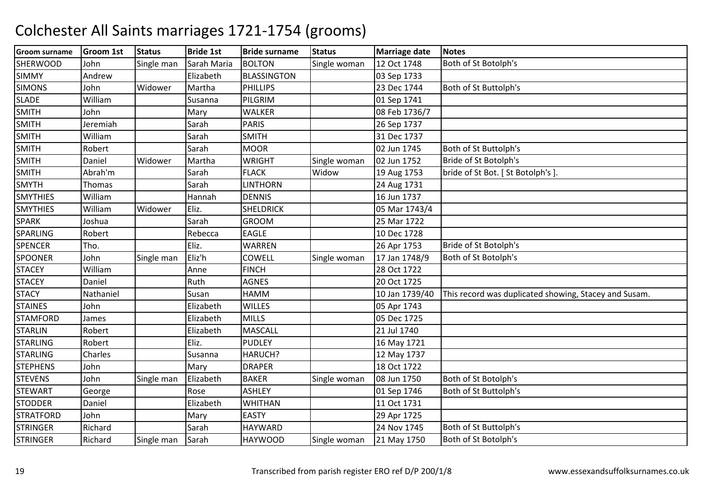| <b>Groom surname</b> | <b>Groom 1st</b> | <b>Status</b> | <b>Bride 1st</b> | <b>Bride surname</b> | <b>Status</b> | <b>Marriage date</b> | <b>Notes</b>                                          |
|----------------------|------------------|---------------|------------------|----------------------|---------------|----------------------|-------------------------------------------------------|
| <b>SHERWOOD</b>      | John             | Single man    | Sarah Maria      | <b>BOLTON</b>        | Single woman  | 12 Oct 1748          | Both of St Botolph's                                  |
| <b>SIMMY</b>         | Andrew           |               | Elizabeth        | <b>BLASSINGTON</b>   |               | 03 Sep 1733          |                                                       |
| <b>SIMONS</b>        | John             | Widower       | Martha           | PHILLIPS             |               | 23 Dec 1744          | Both of St Buttolph's                                 |
| <b>SLADE</b>         | William          |               | Susanna          | PILGRIM              |               | 01 Sep 1741          |                                                       |
| <b>SMITH</b>         | John             |               | Mary             | <b>WALKER</b>        |               | 08 Feb 1736/7        |                                                       |
| <b>SMITH</b>         | Jeremiah         |               | Sarah            | <b>PARIS</b>         |               | 26 Sep 1737          |                                                       |
| <b>SMITH</b>         | William          |               | Sarah            | <b>SMITH</b>         |               | 31 Dec 1737          |                                                       |
| <b>SMITH</b>         | Robert           |               | Sarah            | <b>MOOR</b>          |               | 02 Jun 1745          | Both of St Buttolph's                                 |
| <b>SMITH</b>         | Daniel           | Widower       | Martha           | <b>WRIGHT</b>        | Single woman  | 02 Jun 1752          | Bride of St Botolph's                                 |
| <b>SMITH</b>         | Abrah'm          |               | Sarah            | <b>FLACK</b>         | Widow         | 19 Aug 1753          | bride of St Bot. [ St Botolph's ]                     |
| <b>SMYTH</b>         | Thomas           |               | Sarah            | <b>LINTHORN</b>      |               | 24 Aug 1731          |                                                       |
| <b>SMYTHIES</b>      | William          |               | Hannah           | <b>DENNIS</b>        |               | 16 Jun 1737          |                                                       |
| <b>SMYTHIES</b>      | William          | Widower       | Eliz.            | <b>SHELDRICK</b>     |               | 05 Mar 1743/4        |                                                       |
| <b>SPARK</b>         | Joshua           |               | Sarah            | <b>GROOM</b>         |               | 25 Mar 1722          |                                                       |
| <b>SPARLING</b>      | Robert           |               | Rebecca          | <b>EAGLE</b>         |               | 10 Dec 1728          |                                                       |
| <b>SPENCER</b>       | Tho.             |               | Eliz.            | <b>WARREN</b>        |               | 26 Apr 1753          | Bride of St Botolph's                                 |
| <b>SPOONER</b>       | John             | Single man    | Eliz'h           | <b>COWELL</b>        | Single woman  | 17 Jan 1748/9        | Both of St Botolph's                                  |
| <b>STACEY</b>        | William          |               | Anne             | <b>FINCH</b>         |               | 28 Oct 1722          |                                                       |
| <b>STACEY</b>        | Daniel           |               | Ruth             | <b>AGNES</b>         |               | 20 Oct 1725          |                                                       |
| <b>STACY</b>         | Nathaniel        |               | Susan            | HAMM                 |               | 10 Jan 1739/40       | This record was duplicated showing, Stacey and Susam. |
| <b>STAINES</b>       | John             |               | Elizabeth        | <b>WILLES</b>        |               | 05 Apr 1743          |                                                       |
| <b>STAMFORD</b>      | James            |               | Elizabeth        | <b>MILLS</b>         |               | 05 Dec 1725          |                                                       |
| <b>STARLIN</b>       | Robert           |               | Elizabeth        | <b>MASCALL</b>       |               | 21 Jul 1740          |                                                       |
| <b>STARLING</b>      | Robert           |               | Eliz.            | <b>PUDLEY</b>        |               | 16 May 1721          |                                                       |
| <b>STARLING</b>      | Charles          |               | Susanna          | HARUCH?              |               | 12 May 1737          |                                                       |
| <b>STEPHENS</b>      | John             |               | Mary             | <b>DRAPER</b>        |               | 18 Oct 1722          |                                                       |
| <b>STEVENS</b>       | John             | Single man    | Elizabeth        | <b>BAKER</b>         | Single woman  | 08 Jun 1750          | Both of St Botolph's                                  |
| <b>STEWART</b>       | George           |               | Rose             | <b>ASHLEY</b>        |               | 01 Sep 1746          | Both of St Buttolph's                                 |
| <b>STODDER</b>       | Daniel           |               | Elizabeth        | <b>WHITHAN</b>       |               | 11 Oct 1731          |                                                       |
| <b>STRATFORD</b>     | John             |               | Mary             | <b>EASTY</b>         |               | 29 Apr 1725          |                                                       |
| <b>STRINGER</b>      | Richard          |               | Sarah            | <b>HAYWARD</b>       |               | 24 Nov 1745          | Both of St Buttolph's                                 |
| <b>STRINGER</b>      | Richard          | Single man    | Sarah            | <b>HAYWOOD</b>       | Single woman  | 21 May 1750          | Both of St Botolph's                                  |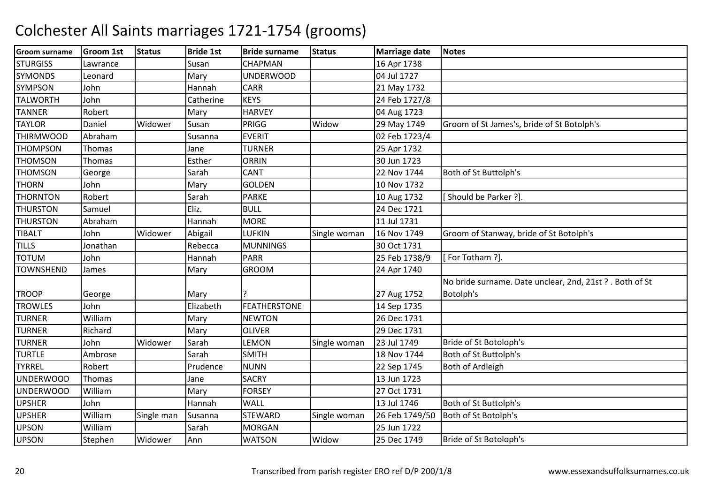| <b>Groom surname</b> | Groom 1st | <b>Status</b> | <b>Bride 1st</b> | <b>Bride surname</b> | <b>Status</b> | Marriage date  | <b>Notes</b>                                             |
|----------------------|-----------|---------------|------------------|----------------------|---------------|----------------|----------------------------------------------------------|
| <b>STURGISS</b>      | Lawrance  |               | Susan            | <b>CHAPMAN</b>       |               | 16 Apr 1738    |                                                          |
| <b>SYMONDS</b>       | Leonard   |               | Mary             | <b>UNDERWOOD</b>     |               | 04 Jul 1727    |                                                          |
| <b>SYMPSON</b>       | John      |               | Hannah           | <b>CARR</b>          |               | 21 May 1732    |                                                          |
| <b>TALWORTH</b>      | John      |               | Catherine        | <b>KEYS</b>          |               | 24 Feb 1727/8  |                                                          |
| <b>TANNER</b>        | Robert    |               | Mary             | <b>HARVEY</b>        |               | 04 Aug 1723    |                                                          |
| <b>TAYLOR</b>        | Daniel    | Widower       | Susan            | PRIGG                | Widow         | 29 May 1749    | Groom of St James's, bride of St Botolph's               |
| <b>THIRMWOOD</b>     | Abraham   |               | Susanna          | <b>EVERIT</b>        |               | 02 Feb 1723/4  |                                                          |
| <b>THOMPSON</b>      | Thomas    |               | Jane             | <b>TURNER</b>        |               | 25 Apr 1732    |                                                          |
| <b>THOMSON</b>       | Thomas    |               | Esther           | <b>ORRIN</b>         |               | 30 Jun 1723    |                                                          |
| <b>THOMSON</b>       | George    |               | Sarah            | <b>CANT</b>          |               | 22 Nov 1744    | Both of St Buttolph's                                    |
| <b>THORN</b>         | John      |               | Mary             | <b>GOLDEN</b>        |               | 10 Nov 1732    |                                                          |
| <b>THORNTON</b>      | Robert    |               | Sarah            | <b>PARKE</b>         |               | 10 Aug 1732    | [Should be Parker ?].                                    |
| <b>THURSTON</b>      | Samuel    |               | Eliz.            | <b>BULL</b>          |               | 24 Dec 1721    |                                                          |
| <b>THURSTON</b>      | Abraham   |               | Hannah           | <b>MORE</b>          |               | 11 Jul 1731    |                                                          |
| <b>TIBALT</b>        | John      | Widower       | Abigail          | <b>LUFKIN</b>        | Single woman  | 16 Nov 1749    | Groom of Stanway, bride of St Botolph's                  |
| <b>TILLS</b>         | Jonathan  |               | Rebecca          | <b>MUNNINGS</b>      |               | 30 Oct 1731    |                                                          |
| <b>TOTUM</b>         | John      |               | Hannah           | <b>PARR</b>          |               | 25 Feb 1738/9  | [For Totham ?].                                          |
| <b>TOWNSHEND</b>     | James     |               | Mary             | <b>GROOM</b>         |               | 24 Apr 1740    |                                                          |
|                      |           |               |                  |                      |               |                | No bride surname. Date unclear, 2nd, 21st ? . Both of St |
| <b>TROOP</b>         | George    |               | Mary             |                      |               | 27 Aug 1752    | Botolph's                                                |
| <b>TROWLES</b>       | John      |               | Elizabeth        | <b>FEATHERSTONE</b>  |               | 14 Sep 1735    |                                                          |
| <b>TURNER</b>        | William   |               | Mary             | <b>NEWTON</b>        |               | 26 Dec 1731    |                                                          |
| <b>TURNER</b>        | Richard   |               | Mary             | <b>OLIVER</b>        |               | 29 Dec 1731    |                                                          |
| <b>TURNER</b>        | John      | Widower       | Sarah            | LEMON                | Single woman  | 23 Jul 1749    | Bride of St Botoloph's                                   |
| <b>TURTLE</b>        | Ambrose   |               | Sarah            | <b>SMITH</b>         |               | 18 Nov 1744    | Both of St Buttolph's                                    |
| <b>TYRREL</b>        | Robert    |               | Prudence         | <b>NUNN</b>          |               | 22 Sep 1745    | <b>Both of Ardleigh</b>                                  |
| <b>UNDERWOOD</b>     | Thomas    |               | Jane             | <b>SACRY</b>         |               | 13 Jun 1723    |                                                          |
| <b>UNDERWOOD</b>     | William   |               | Mary             | <b>FORSEY</b>        |               | 27 Oct 1731    |                                                          |
| <b>UPSHER</b>        | John      |               | Hannah           | <b>WALL</b>          |               | 13 Jul 1746    | Both of St Buttolph's                                    |
| <b>UPSHER</b>        | William   | Single man    | Susanna          | <b>STEWARD</b>       | Single woman  | 26 Feb 1749/50 | Both of St Botolph's                                     |
| <b>UPSON</b>         | William   |               | Sarah            | <b>MORGAN</b>        |               | 25 Jun 1722    |                                                          |
| <b>UPSON</b>         | Stephen   | Widower       | Ann              | <b>WATSON</b>        | Widow         | 25 Dec 1749    | Bride of St Botoloph's                                   |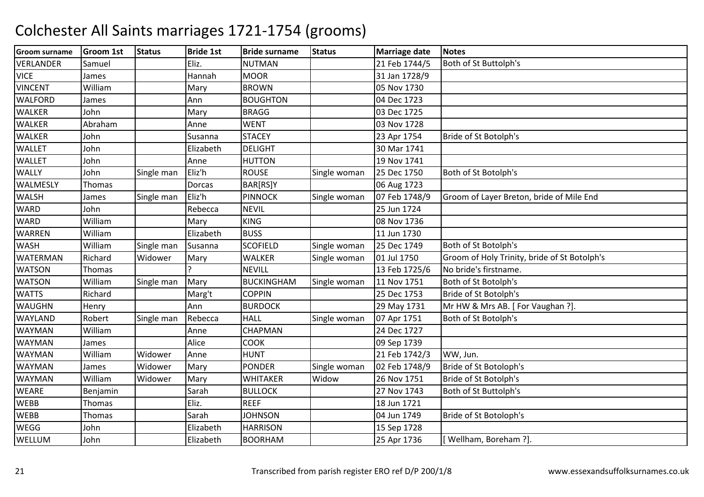| <b>Groom surname</b> | <b>Groom 1st</b> | <b>Status</b> | <b>Bride 1st</b> | <b>Bride surname</b> | <b>Status</b> | <b>Marriage date</b> | <b>Notes</b>                                 |
|----------------------|------------------|---------------|------------------|----------------------|---------------|----------------------|----------------------------------------------|
| <b>VERLANDER</b>     | Samuel           |               | Eliz.            | <b>NUTMAN</b>        |               | 21 Feb 1744/5        | Both of St Buttolph's                        |
| <b>VICE</b>          | James            |               | Hannah           | <b>MOOR</b>          |               | 31 Jan 1728/9        |                                              |
| <b>VINCENT</b>       | William          |               | Mary             | <b>BROWN</b>         |               | 05 Nov 1730          |                                              |
| <b>WALFORD</b>       | James            |               | Ann              | <b>BOUGHTON</b>      |               | 04 Dec 1723          |                                              |
| <b>WALKER</b>        | John             |               | Mary             | <b>BRAGG</b>         |               | 03 Dec 1725          |                                              |
| <b>WALKER</b>        | Abraham          |               | Anne             | <b>WENT</b>          |               | 03 Nov 1728          |                                              |
| <b>WALKER</b>        | John             |               | Susanna          | <b>STACEY</b>        |               | 23 Apr 1754          | Bride of St Botolph's                        |
| <b>WALLET</b>        | John             |               | Elizabeth        | <b>DELIGHT</b>       |               | 30 Mar 1741          |                                              |
| <b>WALLET</b>        | John             |               | Anne             | <b>HUTTON</b>        |               | 19 Nov 1741          |                                              |
| <b>WALLY</b>         | John             | Single man    | Eliz'h           | <b>ROUSE</b>         | Single woman  | 25 Dec 1750          | Both of St Botolph's                         |
| WALMESLY             | Thomas           |               | Dorcas           | BAR[RS]Y             |               | 06 Aug 1723          |                                              |
| <b>WALSH</b>         | James            | Single man    | Eliz'h           | <b>PINNOCK</b>       | Single woman  | 07 Feb 1748/9        | Groom of Layer Breton, bride of Mile End     |
| <b>WARD</b>          | John             |               | Rebecca          | <b>NEVIL</b>         |               | 25 Jun 1724          |                                              |
| <b>WARD</b>          | William          |               | Mary             | <b>KING</b>          |               | 08 Nov 1736          |                                              |
| <b>WARREN</b>        | William          |               | Elizabeth        | <b>BUSS</b>          |               | 11 Jun 1730          |                                              |
| <b>WASH</b>          | William          | Single man    | Susanna          | <b>SCOFIELD</b>      | Single woman  | 25 Dec 1749          | Both of St Botolph's                         |
| <b>WATERMAN</b>      | Richard          | Widower       | Mary             | <b>WALKER</b>        | Single woman  | 01 Jul 1750          | Groom of Holy Trinity, bride of St Botolph's |
| <b>WATSON</b>        | Thomas           |               |                  | <b>NEVILL</b>        |               | 13 Feb 1725/6        | No bride's firstname.                        |
| <b>WATSON</b>        | William          | Single man    | Mary             | <b>BUCKINGHAM</b>    | Single woman  | 11 Nov 1751          | Both of St Botolph's                         |
| <b>WATTS</b>         | Richard          |               | Marg't           | <b>COPPIN</b>        |               | 25 Dec 1753          | Bride of St Botolph's                        |
| <b>WAUGHN</b>        | Henry            |               | Ann              | <b>BURDOCK</b>       |               | 29 May 1731          | Mr HW & Mrs AB. [For Vaughan ?].             |
| <b>WAYLAND</b>       | Robert           | Single man    | Rebecca          | <b>HALL</b>          | Single woman  | 07 Apr 1751          | Both of St Botolph's                         |
| <b>WAYMAN</b>        | William          |               | Anne             | CHAPMAN              |               | 24 Dec 1727          |                                              |
| WAYMAN               | James            |               | Alice            | <b>COOK</b>          |               | 09 Sep 1739          |                                              |
| WAYMAN               | William          | Widower       | Anne             | <b>HUNT</b>          |               | 21 Feb 1742/3        | WW, Jun.                                     |
| <b>WAYMAN</b>        | James            | Widower       | Mary             | <b>PONDER</b>        | Single woman  | 02 Feb 1748/9        | Bride of St Botoloph's                       |
| WAYMAN               | William          | Widower       | Mary             | <b>WHITAKER</b>      | Widow         | 26 Nov 1751          | Bride of St Botolph's                        |
| <b>WEARE</b>         | Benjamin         |               | Sarah            | <b>BULLOCK</b>       |               | 27 Nov 1743          | Both of St Buttolph's                        |
| <b>WEBB</b>          | Thomas           |               | Eliz.            | <b>REEF</b>          |               | 18 Jun 1721          |                                              |
| <b>WEBB</b>          | Thomas           |               | Sarah            | <b>JOHNSON</b>       |               | 04 Jun 1749          | Bride of St Botoloph's                       |
| <b>WEGG</b>          | John             |               | Elizabeth        | <b>HARRISON</b>      |               | 15 Sep 1728          |                                              |
| WELLUM               | John             |               | Elizabeth        | <b>BOORHAM</b>       |               | 25 Apr 1736          | [ Wellham, Boreham ?].                       |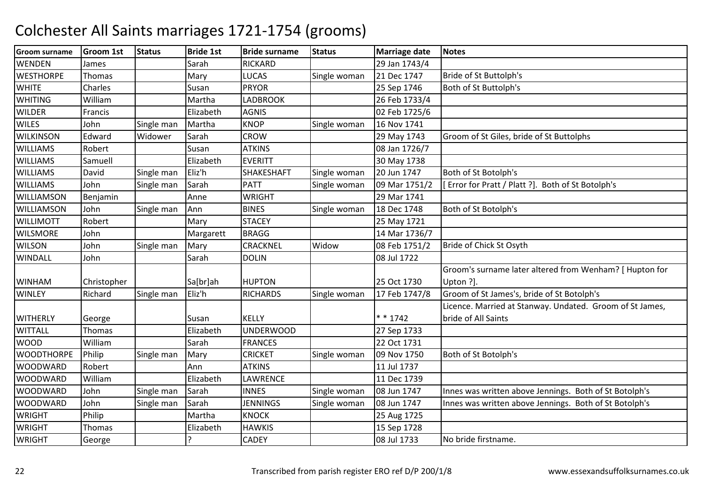| <b>Groom surname</b> | <b>Groom 1st</b> | <b>Status</b> | <b>Bride 1st</b> | <b>Bride surname</b> | <b>Status</b> | <b>Marriage date</b> | <b>Notes</b>                                             |
|----------------------|------------------|---------------|------------------|----------------------|---------------|----------------------|----------------------------------------------------------|
| <b>WENDEN</b>        | James            |               | Sarah            | <b>RICKARD</b>       |               | 29 Jan 1743/4        |                                                          |
| <b>WESTHORPE</b>     | Thomas           |               | Mary             | <b>LUCAS</b>         | Single woman  | 21 Dec 1747          | Bride of St Buttolph's                                   |
| <b>WHITE</b>         | Charles          |               | Susan            | <b>PRYOR</b>         |               | 25 Sep 1746          | Both of St Buttolph's                                    |
| <b>WHITING</b>       | William          |               | Martha           | LADBROOK             |               | 26 Feb 1733/4        |                                                          |
| <b>WILDER</b>        | Francis          |               | Elizabeth        | <b>AGNIS</b>         |               | 02 Feb 1725/6        |                                                          |
| <b>WILES</b>         | John             | Single man    | Martha           | <b>KNOP</b>          | Single woman  | 16 Nov 1741          |                                                          |
| <b>WILKINSON</b>     | Edward           | Widower       | Sarah            | <b>CROW</b>          |               | 29 May 1743          | Groom of St Giles, bride of St Buttolphs                 |
| <b>WILLIAMS</b>      | Robert           |               | Susan            | <b>ATKINS</b>        |               | 08 Jan 1726/7        |                                                          |
| <b>WILLIAMS</b>      | Samuell          |               | Elizabeth        | <b>EVERITT</b>       |               | 30 May 1738          |                                                          |
| <b>WILLIAMS</b>      | David            | Single man    | Eliz'h           | <b>SHAKESHAFT</b>    | Single woman  | 20 Jun 1747          | Both of St Botolph's                                     |
| <b>WILLIAMS</b>      | John             | Single man    | Sarah            | <b>PATT</b>          | Single woman  | 09 Mar 1751/2        | [Error for Pratt / Platt ?]. Both of St Botolph's        |
| <b>WILLIAMSON</b>    | Benjamin         |               | Anne             | <b>WRIGHT</b>        |               | 29 Mar 1741          |                                                          |
| <b>WILLIAMSON</b>    | John             | Single man    | Ann              | <b>BINES</b>         | Single woman  | 18 Dec 1748          | Both of St Botolph's                                     |
| <b>WILLIMOTT</b>     | Robert           |               | Mary             | <b>STACEY</b>        |               | 25 May 1721          |                                                          |
| <b>WILSMORE</b>      | John             |               | Margarett        | <b>BRAGG</b>         |               | 14 Mar 1736/7        |                                                          |
| <b>WILSON</b>        | John             | Single man    | Mary             | CRACKNEL             | Widow         | 08 Feb 1751/2        | Bride of Chick St Osyth                                  |
| WINDALL              | John             |               | Sarah            | <b>DOLIN</b>         |               | 08 Jul 1722          |                                                          |
|                      |                  |               |                  |                      |               |                      | Groom's surname later altered from Wenham? [ Hupton for  |
| <b>WINHAM</b>        | Christopher      |               | Sa[br]ah         | <b>HUPTON</b>        |               | 25 Oct 1730          | Upton ?].                                                |
| <b>WINLEY</b>        | Richard          | Single man    | Eliz'h           | <b>RICHARDS</b>      | Single woman  | 17 Feb 1747/8        | Groom of St James's, bride of St Botolph's               |
|                      |                  |               |                  |                      |               |                      | Licence. Married at Stanway. Undated. Groom of St James, |
| <b>WITHERLY</b>      | George           |               | Susan            | <b>KELLY</b>         |               | $* * 1742$           | bride of All Saints                                      |
| <b>WITTALL</b>       | Thomas           |               | Elizabeth        | <b>UNDERWOOD</b>     |               | 27 Sep 1733          |                                                          |
| <b>WOOD</b>          | William          |               | Sarah            | <b>FRANCES</b>       |               | 22 Oct 1731          |                                                          |
| <b>WOODTHORPE</b>    | Philip           | Single man    | Mary             | <b>CRICKET</b>       | Single woman  | 09 Nov 1750          | Both of St Botolph's                                     |
| <b>WOODWARD</b>      | Robert           |               | Ann              | <b>ATKINS</b>        |               | 11 Jul 1737          |                                                          |
| <b>WOODWARD</b>      | William          |               | Elizabeth        | LAWRENCE             |               | 11 Dec 1739          |                                                          |
| <b>WOODWARD</b>      | John             | Single man    | Sarah            | <b>INNES</b>         | Single woman  | 08 Jun 1747          | Innes was written above Jennings. Both of St Botolph's   |
| <b>WOODWARD</b>      | John             | Single man    | Sarah            | <b>JENNINGS</b>      | Single woman  | 08 Jun 1747          | Innes was written above Jennings. Both of St Botolph's   |
| <b>WRIGHT</b>        | Philip           |               | Martha           | <b>KNOCK</b>         |               | 25 Aug 1725          |                                                          |
| <b>WRIGHT</b>        | Thomas           |               | Elizabeth        | <b>HAWKIS</b>        |               | 15 Sep 1728          |                                                          |
| <b>WRIGHT</b>        | George           |               | ?                | <b>CADEY</b>         |               | 08 Jul 1733          | No bride firstname.                                      |